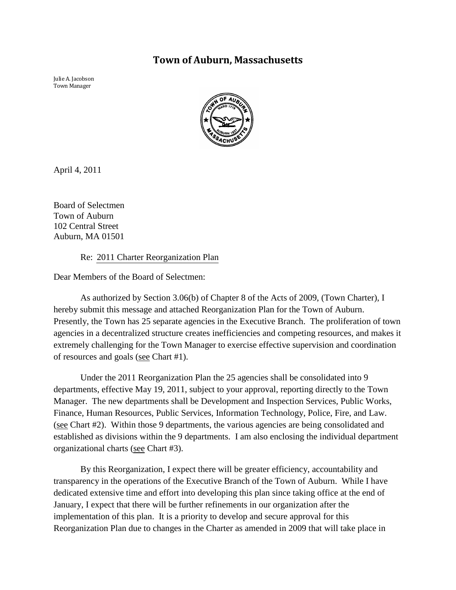# **Town of Auburn, Massachusetts**

Julie A. Jacobson Town Manager



April 4, 2011

Board of Selectmen Town of Auburn 102 Central Street Auburn, MA 01501

Re: 2011 Charter Reorganization Plan

Dear Members of the Board of Selectmen:

As authorized by Section 3.06(b) of Chapter 8 of the Acts of 2009, (Town Charter), I hereby submit this message and attached Reorganization Plan for the Town of Auburn. Presently, the Town has 25 separate agencies in the Executive Branch. The proliferation of town agencies in a decentralized structure creates inefficiencies and competing resources, and makes it extremely challenging for the Town Manager to exercise effective supervision and coordination of resources and goals (see Chart #1).

Under the 2011 Reorganization Plan the 25 agencies shall be consolidated into 9 departments, effective May 19, 2011, subject to your approval, reporting directly to the Town Manager. The new departments shall be Development and Inspection Services, Public Works, Finance, Human Resources, Public Services, Information Technology, Police, Fire, and Law. (see Chart #2). Within those 9 departments, the various agencies are being consolidated and established as divisions within the 9 departments. I am also enclosing the individual department organizational charts (see Chart #3).

By this Reorganization, I expect there will be greater efficiency, accountability and transparency in the operations of the Executive Branch of the Town of Auburn. While I have dedicated extensive time and effort into developing this plan since taking office at the end of January, I expect that there will be further refinements in our organization after the implementation of this plan. It is a priority to develop and secure approval for this Reorganization Plan due to changes in the Charter as amended in 2009 that will take place in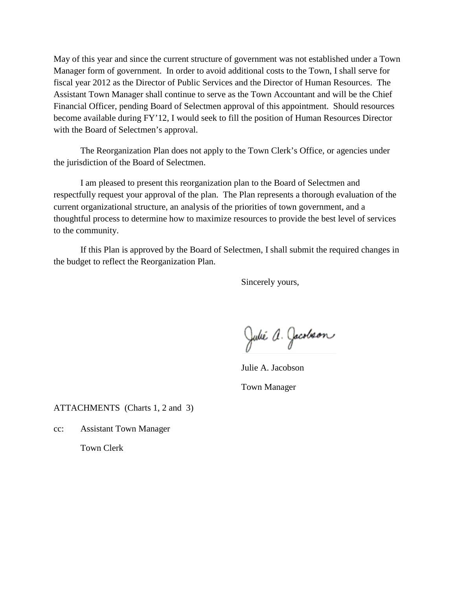May of this year and since the current structure of government was not established under a Town Manager form of government. In order to avoid additional costs to the Town, I shall serve for fiscal year 2012 as the Director of Public Services and the Director of Human Resources. The Assistant Town Manager shall continue to serve as the Town Accountant and will be the Chief Financial Officer, pending Board of Selectmen approval of this appointment. Should resources become available during FY'12, I would seek to fill the position of Human Resources Director with the Board of Selectmen's approval.

The Reorganization Plan does not apply to the Town Clerk's Office, or agencies under the jurisdiction of the Board of Selectmen.

I am pleased to present this reorganization plan to the Board of Selectmen and respectfully request your approval of the plan. The Plan represents a thorough evaluation of the current organizational structure, an analysis of the priorities of town government, and a thoughtful process to determine how to maximize resources to provide the best level of services to the community.

If this Plan is approved by the Board of Selectmen, I shall submit the required changes in the budget to reflect the Reorganization Plan.

Sincerely yours,

Julie A. Jacobson

Julie A. Jacobson Town Manager

ATTACHMENTS (Charts 1, 2 and 3)

cc: Assistant Town Manager

Town Clerk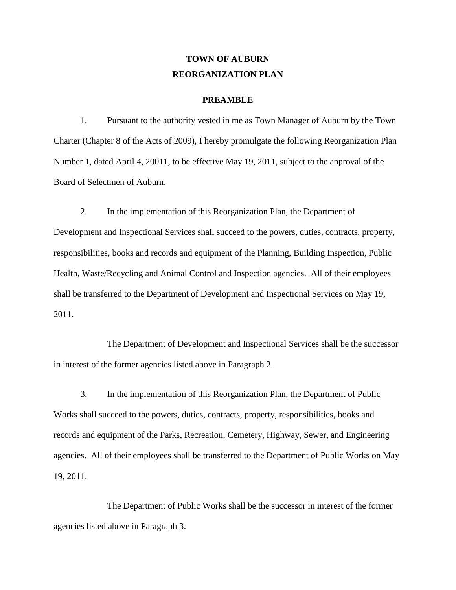# **TOWN OF AUBURN REORGANIZATION PLAN**

#### **PREAMBLE**

1. Pursuant to the authority vested in me as Town Manager of Auburn by the Town Charter (Chapter 8 of the Acts of 2009), I hereby promulgate the following Reorganization Plan Number 1, dated April 4, 20011, to be effective May 19, 2011, subject to the approval of the Board of Selectmen of Auburn.

2. In the implementation of this Reorganization Plan, the Department of Development and Inspectional Services shall succeed to the powers, duties, contracts, property, responsibilities, books and records and equipment of the Planning, Building Inspection, Public Health, Waste/Recycling and Animal Control and Inspection agencies. All of their employees shall be transferred to the Department of Development and Inspectional Services on May 19, 2011.

The Department of Development and Inspectional Services shall be the successor in interest of the former agencies listed above in Paragraph 2.

3. In the implementation of this Reorganization Plan, the Department of Public Works shall succeed to the powers, duties, contracts, property, responsibilities, books and records and equipment of the Parks, Recreation, Cemetery, Highway, Sewer, and Engineering agencies. All of their employees shall be transferred to the Department of Public Works on May 19, 2011.

The Department of Public Works shall be the successor in interest of the former agencies listed above in Paragraph 3.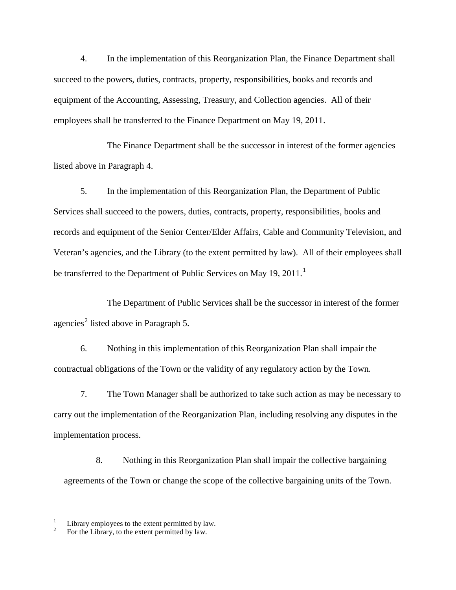4. In the implementation of this Reorganization Plan, the Finance Department shall succeed to the powers, duties, contracts, property, responsibilities, books and records and equipment of the Accounting, Assessing, Treasury, and Collection agencies. All of their employees shall be transferred to the Finance Department on May 19, 2011.

The Finance Department shall be the successor in interest of the former agencies listed above in Paragraph 4.

5. In the implementation of this Reorganization Plan, the Department of Public Services shall succeed to the powers, duties, contracts, property, responsibilities, books and records and equipment of the Senior Center/Elder Affairs, Cable and Community Television, and Veteran's agencies, and the Library (to the extent permitted by law). All of their employees shall be transferred to the Department of Public Services on May [1](#page-3-0)9, 2011.<sup>1</sup>

The Department of Public Services shall be the successor in interest of the former agencies<sup>[2](#page-3-1)</sup> listed above in Paragraph 5.

6. Nothing in this implementation of this Reorganization Plan shall impair the contractual obligations of the Town or the validity of any regulatory action by the Town.

7. The Town Manager shall be authorized to take such action as may be necessary to carry out the implementation of the Reorganization Plan, including resolving any disputes in the implementation process.

8. Nothing in this Reorganization Plan shall impair the collective bargaining agreements of the Town or change the scope of the collective bargaining units of the Town.

<span id="page-3-0"></span><sup>&</sup>lt;sup>1</sup> Library employees to the extent permitted by law.<br><sup>2</sup> For the Library, to the extent permitted by law.

<span id="page-3-1"></span>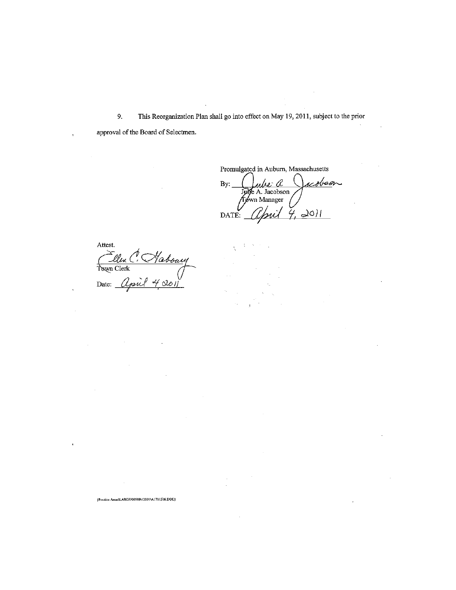9. This Reorganization Plan shall go into effect on May 19, 2011, subject to the prior approval of the Board of Selectmen.

Promulgated in Auburn, Massachusetts Juille a Jacob<br>Juille A. Jacobson<br>John Manager<br>: *april 4*, 2011 <u>acobson</u> By:  $\mathcal{D}$ <br>DATE:

Attest. Tellen C. Haboury

{Practice Areas\LABOR\00588\12001\A1781306.DOC}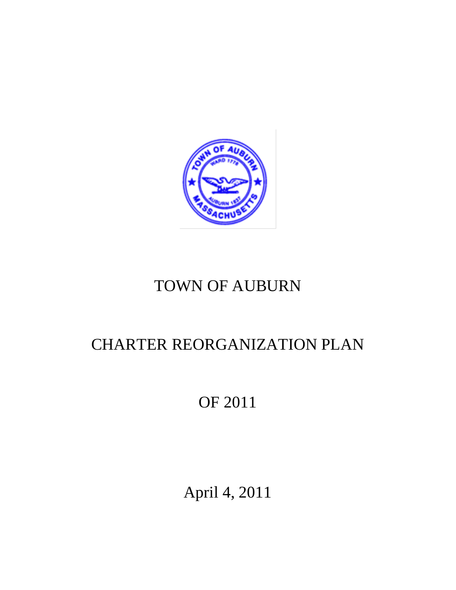

# TOWN OF AUBURN

# CHARTER REORGANIZATION PLAN

# OF 2011

April 4, 2011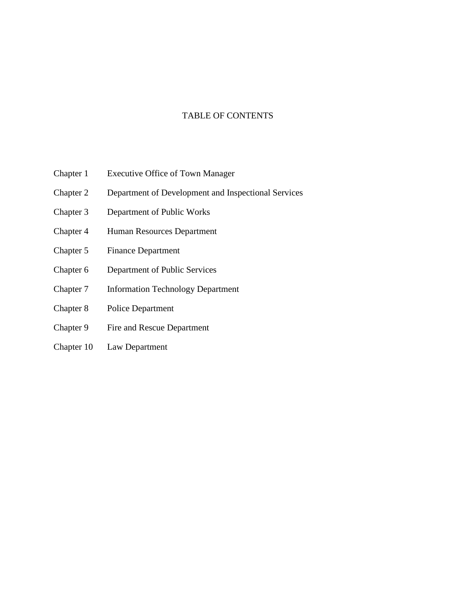# TABLE OF CONTENTS

- Chapter 1 Executive Office of Town Manager
- Chapter 2 Department of Development and Inspectional Services
- Chapter 3 Department of Public Works
- Chapter 4 Human Resources Department
- Chapter 5 Finance Department
- Chapter 6 Department of Public Services
- Chapter 7 Information Technology Department
- Chapter 8 Police Department
- Chapter 9 Fire and Rescue Department
- Chapter 10 Law Department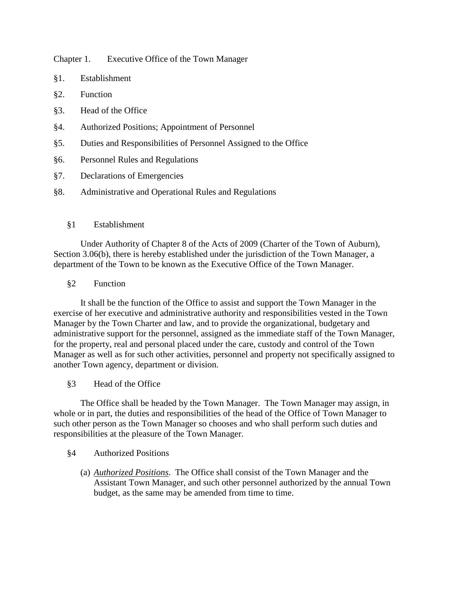Chapter 1. Executive Office of the Town Manager

- §1. Establishment
- §2. Function
- §3. Head of the Office
- §4. Authorized Positions; Appointment of Personnel
- §5. Duties and Responsibilities of Personnel Assigned to the Office
- §6. Personnel Rules and Regulations
- §7. Declarations of Emergencies
- §8. Administrative and Operational Rules and Regulations
	- §1 Establishment

Under Authority of Chapter 8 of the Acts of 2009 (Charter of the Town of Auburn), Section 3.06(b), there is hereby established under the jurisdiction of the Town Manager, a department of the Town to be known as the Executive Office of the Town Manager.

§2 Function

It shall be the function of the Office to assist and support the Town Manager in the exercise of her executive and administrative authority and responsibilities vested in the Town Manager by the Town Charter and law, and to provide the organizational, budgetary and administrative support for the personnel, assigned as the immediate staff of the Town Manager, for the property, real and personal placed under the care, custody and control of the Town Manager as well as for such other activities, personnel and property not specifically assigned to another Town agency, department or division.

§3 Head of the Office

The Office shall be headed by the Town Manager. The Town Manager may assign, in whole or in part, the duties and responsibilities of the head of the Office of Town Manager to such other person as the Town Manager so chooses and who shall perform such duties and responsibilities at the pleasure of the Town Manager.

- §4 Authorized Positions
	- (a) *Authorized Positions*. The Office shall consist of the Town Manager and the Assistant Town Manager, and such other personnel authorized by the annual Town budget, as the same may be amended from time to time.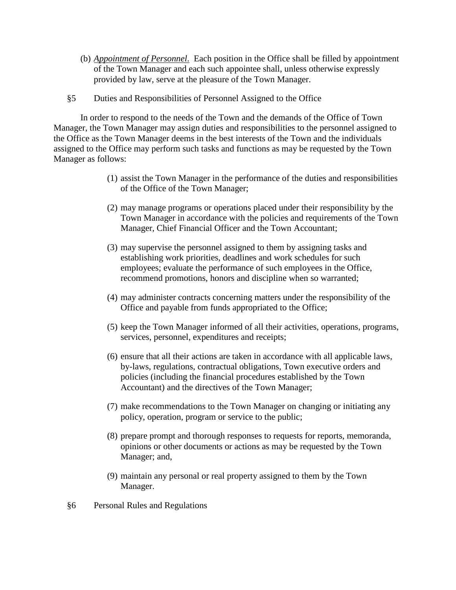- (b) *Appointment of Personnel*. Each position in the Office shall be filled by appointment of the Town Manager and each such appointee shall, unless otherwise expressly provided by law, serve at the pleasure of the Town Manager.
- §5 Duties and Responsibilities of Personnel Assigned to the Office

In order to respond to the needs of the Town and the demands of the Office of Town Manager, the Town Manager may assign duties and responsibilities to the personnel assigned to the Office as the Town Manager deems in the best interests of the Town and the individuals assigned to the Office may perform such tasks and functions as may be requested by the Town Manager as follows:

- (1) assist the Town Manager in the performance of the duties and responsibilities of the Office of the Town Manager;
- (2) may manage programs or operations placed under their responsibility by the Town Manager in accordance with the policies and requirements of the Town Manager, Chief Financial Officer and the Town Accountant;
- (3) may supervise the personnel assigned to them by assigning tasks and establishing work priorities, deadlines and work schedules for such employees; evaluate the performance of such employees in the Office, recommend promotions, honors and discipline when so warranted;
- (4) may administer contracts concerning matters under the responsibility of the Office and payable from funds appropriated to the Office;
- (5) keep the Town Manager informed of all their activities, operations, programs, services, personnel, expenditures and receipts;
- (6) ensure that all their actions are taken in accordance with all applicable laws, by-laws, regulations, contractual obligations, Town executive orders and policies (including the financial procedures established by the Town Accountant) and the directives of the Town Manager;
- (7) make recommendations to the Town Manager on changing or initiating any policy, operation, program or service to the public;
- (8) prepare prompt and thorough responses to requests for reports, memoranda, opinions or other documents or actions as may be requested by the Town Manager; and,
- (9) maintain any personal or real property assigned to them by the Town Manager.
- §6 Personal Rules and Regulations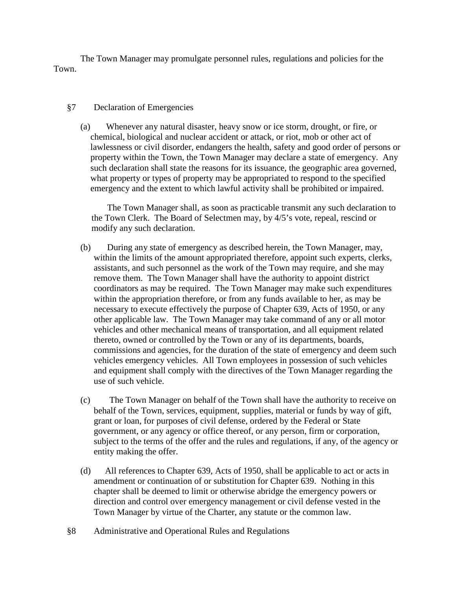The Town Manager may promulgate personnel rules, regulations and policies for the Town.

#### §7 Declaration of Emergencies

(a) Whenever any natural disaster, heavy snow or ice storm, drought, or fire, or chemical, biological and nuclear accident or attack, or riot, mob or other act of lawlessness or civil disorder, endangers the health, safety and good order of persons or property within the Town, the Town Manager may declare a state of emergency. Any such declaration shall state the reasons for its issuance, the geographic area governed, what property or types of property may be appropriated to respond to the specified emergency and the extent to which lawful activity shall be prohibited or impaired.

The Town Manager shall, as soon as practicable transmit any such declaration to the Town Clerk. The Board of Selectmen may, by 4/5's vote, repeal, rescind or modify any such declaration.

- (b) During any state of emergency as described herein, the Town Manager, may, within the limits of the amount appropriated therefore, appoint such experts, clerks, assistants, and such personnel as the work of the Town may require, and she may remove them. The Town Manager shall have the authority to appoint district coordinators as may be required. The Town Manager may make such expenditures within the appropriation therefore, or from any funds available to her, as may be necessary to execute effectively the purpose of Chapter 639, Acts of 1950, or any other applicable law. The Town Manager may take command of any or all motor vehicles and other mechanical means of transportation, and all equipment related thereto, owned or controlled by the Town or any of its departments, boards, commissions and agencies, for the duration of the state of emergency and deem such vehicles emergency vehicles. All Town employees in possession of such vehicles and equipment shall comply with the directives of the Town Manager regarding the use of such vehicle.
- (c) The Town Manager on behalf of the Town shall have the authority to receive on behalf of the Town, services, equipment, supplies, material or funds by way of gift, grant or loan, for purposes of civil defense, ordered by the Federal or State government, or any agency or office thereof, or any person, firm or corporation, subject to the terms of the offer and the rules and regulations, if any, of the agency or entity making the offer.
- (d) All references to Chapter 639, Acts of 1950, shall be applicable to act or acts in amendment or continuation of or substitution for Chapter 639. Nothing in this chapter shall be deemed to limit or otherwise abridge the emergency powers or direction and control over emergency management or civil defense vested in the Town Manager by virtue of the Charter, any statute or the common law.
- §8 Administrative and Operational Rules and Regulations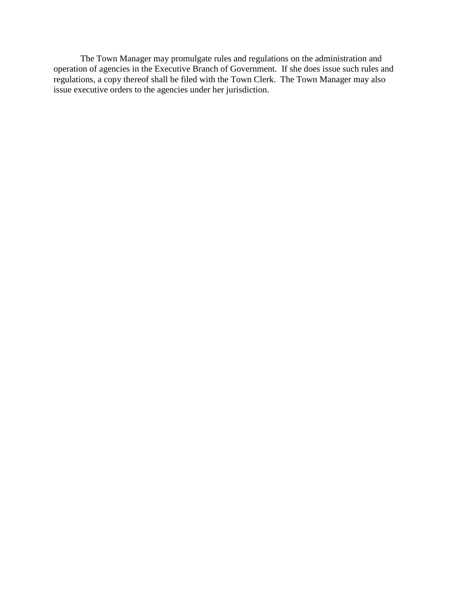The Town Manager may promulgate rules and regulations on the administration and operation of agencies in the Executive Branch of Government. If she does issue such rules and regulations, a copy thereof shall be filed with the Town Clerk. The Town Manager may also issue executive orders to the agencies under her jurisdiction.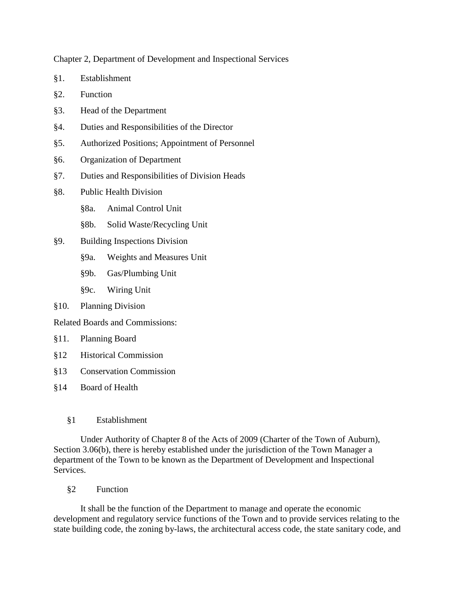Chapter 2, Department of Development and Inspectional Services

- §1. Establishment
- §2. Function
- §3. Head of the Department
- §4. Duties and Responsibilities of the Director
- §5. Authorized Positions; Appointment of Personnel
- §6. Organization of Department
- §7. Duties and Responsibilities of Division Heads
- §8. Public Health Division
	- §8a. Animal Control Unit
	- §8b. Solid Waste/Recycling Unit
- §9. Building Inspections Division
	- §9a. Weights and Measures Unit
	- §9b. Gas/Plumbing Unit
	- §9c. Wiring Unit
- §10. Planning Division

Related Boards and Commissions:

- §11. Planning Board
- §12 Historical Commission
- §13 Conservation Commission
- §14 Board of Health
	- §1 Establishment

Under Authority of Chapter 8 of the Acts of 2009 (Charter of the Town of Auburn), Section 3.06(b), there is hereby established under the jurisdiction of the Town Manager a department of the Town to be known as the Department of Development and Inspectional Services.

§2 Function

It shall be the function of the Department to manage and operate the economic development and regulatory service functions of the Town and to provide services relating to the state building code, the zoning by-laws, the architectural access code, the state sanitary code, and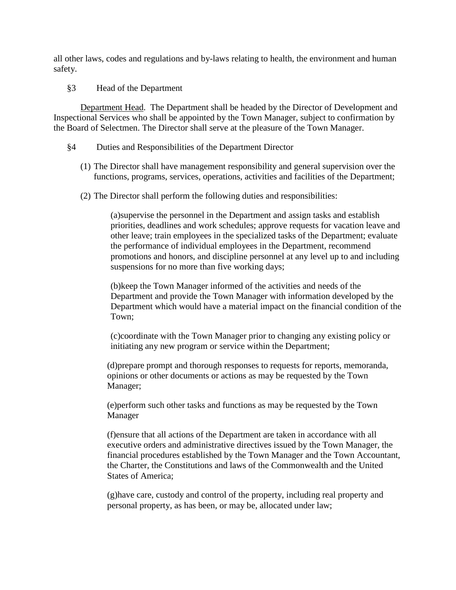all other laws, codes and regulations and by-laws relating to health, the environment and human safety.

§3 Head of the Department

Department Head . The Department shall be headed by the Director of Development and Inspectional Services who shall be appointed by the Town Manager, subject to confirmation by the Board of Selectmen. The Director shall serve at the pleasure of the Town Manager.

#### §4 Duties and Responsibilities of the Department Director

- (1) The Director shall have management responsibility and general supervision over the functions, programs, services, operations, activities and facilities of the Department;
- (2) The Director shall perform the following duties and responsibilities:

(a)supervise the personnel in the Department and assign tasks and establish priorities, deadlines and work schedules; approve requests for vacation leave and other leave; train employees in the specialized tasks of the Department; evaluate the performance of individual employees in the Department, recommend promotions and honors, and discipline personnel at any level up to and including suspensions for no more than five working days;

(b)keep the Town Manager informed of the activities and needs of the Department and provide the Town Manager with information developed by the Department which would have a material impact on the financial condition of the Town;

(c)coordinate with the Town Manager prior to changing any existing policy or initiating any new program or service within the Department;

(d)prepare prompt and thorough responses to requests for reports, memoranda, opinions or other documents or actions as may be requested by the Town Manager;

(e)perform such other tasks and functions as may be requested by the Town Manager

(f)ensure that all actions of the Department are taken in accordance with all executive orders and administrative directives issued by the Town Manager, the financial procedures established by the Town Manager and the Town Accountant, the Charter*,* the Constitutions and laws of the Commonwealth and the United States of America;

(g)have care, custody and control of the property, including real property and personal property, as has been, or may be, allocated under law;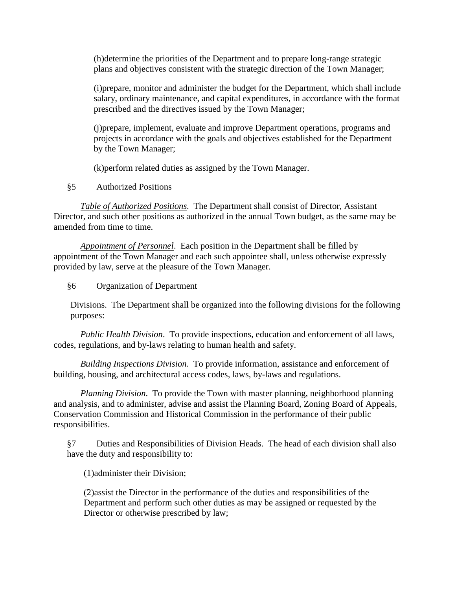(h)determine the priorities of the Department and to prepare long-range strategic plans and objectives consistent with the strategic direction of the Town Manager;

(i)prepare, monitor and administer the budget for the Department, which shall include salary, ordinary maintenance, and capital expenditures, in accordance with the format prescribed and the directives issued by the Town Manager;

(j)prepare, implement, evaluate and improve Department operations, programs and projects in accordance with the goals and objectives established for the Department by the Town Manager;

(k)perform related duties as assigned by the Town Manager.

§5 Authorized Positions

*Table of Authorized Positions*. The Department shall consist of Director, Assistant Director, and such other positions as authorized in the annual Town budget, as the same may be amended from time to time.

*Appointment of Personnel* . Each position in the Department shall be filled by appointment of the Town Manager and each such appointee shall, unless otherwise expressly provided by law, serve at the pleasure of the Town Manager.

§6 Organization of Department

Divisions. The Department shall be organized into the following divisions for the following purposes:

*Public Health Division*. To provide inspections, education and enforcement of all laws, codes, regulations, and by-laws relating to human health and safety.

*Building Inspections Division*. To provide information, assistance and enforcement of building, housing, and architectural access codes, laws, by-laws and regulations.

*Planning Division*. To provide the Town with master planning, neighborhood planning and analysis, and to administer, advise and assist the Planning Board, Zoning Board of Appeals, Conservation Commission and Historical Commission in the performance of their public responsibilities.

§7 Duties and Responsibilities of Division Heads. The head of each division shall also have the duty and responsibility to:

(1)administer their Division;

(2)assist the Director in the performance of the duties and responsibilities of the Department and perform such other duties as may be assigned or requested by the Director or otherwise prescribed by law;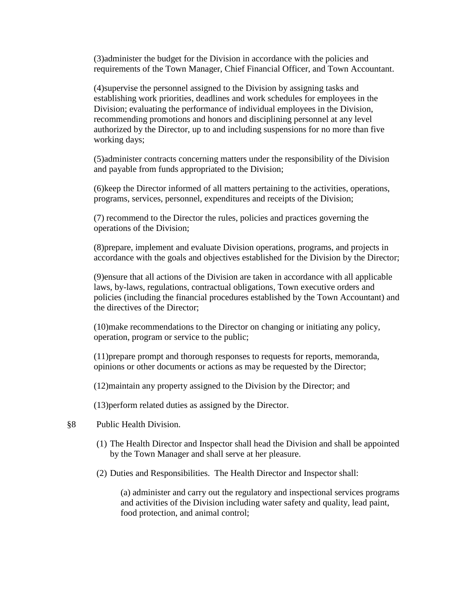(3)administer the budget for the Division in accordance with the policies and requirements of the Town Manager, Chief Financial Officer, and Town Accountant.

(4)supervise the personnel assigned to the Division by assigning tasks and establishing work priorities, deadlines and work schedules for employees in the Division; evaluating the performance of individual employees in the Division, recommending promotions and honors and disciplining personnel at any level authorized by the Director, up to and including suspensions for no more than five working days;

(5)administer contracts concerning matters under the responsibility of the Division and payable from funds appropriated to the Division;

(6)keep the Director informed of all matters pertaining to the activities, operations, programs, services, personnel, expenditures and receipts of the Division;

(7) recommend to the Director the rules, policies and practices governing the operations of the Division;

(8)prepare, implement and evaluate Division operations, programs, and projects in accordance with the goals and objectives established for the Division by the Director;

(9)ensure that all actions of the Division are taken in accordance with all applicable laws, by-laws, regulations, contractual obligations, Town executive orders and policies (including the financial procedures established by the Town Accountant) and the directives of the Director;

(10)make recommendations to the Director on changing or initiating any policy, operation, program or service to the public;

(11)prepare prompt and thorough responses to requests for reports, memoranda, opinions or other documents or actions as may be requested by the Director;

(12)maintain any property assigned to the Division by the Director; and

(13)perform related duties as assigned by the Director.

#### §8 Public Health Division.

- (1) The Health Director and Inspector shall head the Division and shall be appointed by the Town Manager and shall serve at her pleasure.
- (2) Duties and Responsibilities. The Health Director and Inspector shall:

(a) administer and carry out the regulatory and inspectional services programs and activities of the Division including water safety and quality, lead paint, food protection, and animal control;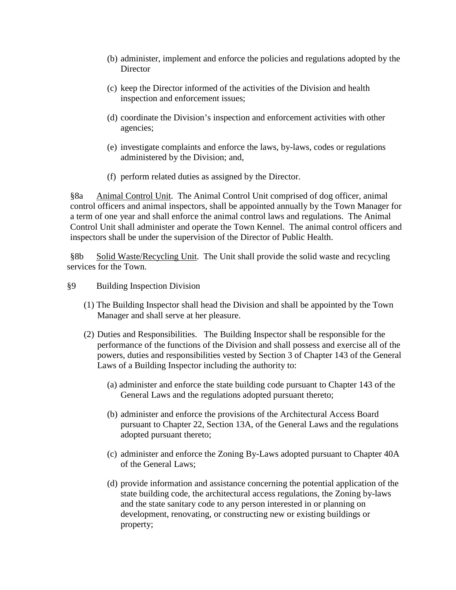- (b) administer, implement and enforce the policies and regulations adopted by the **Director**
- (c) keep the Director informed of the activities of the Division and health inspection and enforcement issues;
- (d) coordinate the Division's inspection and enforcement activities with other agencies;
- (e) investigate complaints and enforce the laws, by-laws, codes or regulations administered by the Division; and,
- (f) perform related duties as assigned by the Director.

§8a Animal Control Unit. The Animal Control Unit comprised of dog officer, animal control officers and animal inspectors, shall be appointed annually by the Town Manager for a term of one year and shall enforce the animal control laws and regulations. The Animal Control Unit shall administer and operate the Town Kennel. The animal control officers and inspectors shall be under the supervision of the Director of Public Health.

§8b Solid Waste/Recycling Unit. The Unit shall provide the solid waste and recycling services for the Town.

- §9 Building Inspection Division
	- (1) The Building Inspector shall head the Division and shall be appointed by the Town Manager and shall serve at her pleasure.
	- (2) Duties and Responsibilities. The Building Inspector shall be responsible for the performance of the functions of the Division and shall possess and exercise all of the powers, duties and responsibilities vested by Section 3 of Chapter 143 of the General Laws of a Building Inspector including the authority to:
		- (a) administer and enforce the state building code pursuant to Chapter 143 of the General Laws and the regulations adopted pursuant thereto;
		- (b) administer and enforce the provisions of the Architectural Access Board pursuant to Chapter 22, Section 13A, of the General Laws and the regulations adopted pursuant thereto;
		- (c) administer and enforce the Zoning By-Laws adopted pursuant to Chapter 40A of the General Laws;
		- (d) provide information and assistance concerning the potential application of the state building code, the architectural access regulations, the Zoning by-laws and the state sanitary code to any person interested in or planning on development, renovating, or constructing new or existing buildings or property;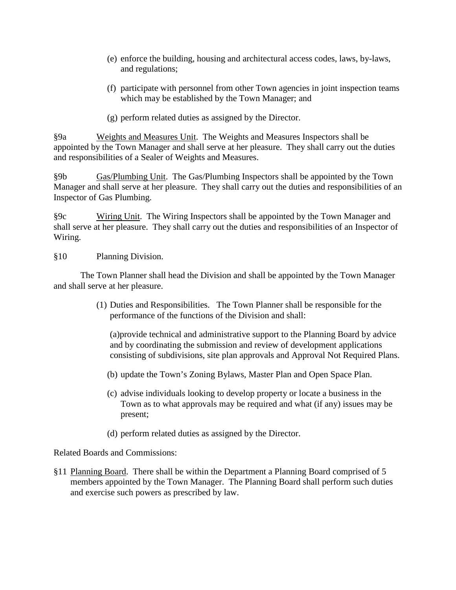- (e) enforce the building, housing and architectural access codes, laws, by-laws, and regulations;
- (f) participate with personnel from other Town agencies in joint inspection teams which may be established by the Town Manager; and
- (g) perform related duties as assigned by the Director.

§9a Weights and Measures Unit. The Weights and Measures Inspectors shall be appointed by the Town Manager and shall serve at her pleasure. They shall carry out the duties and responsibilities of a Sealer of Weights and Measures.

§9b Gas/Plumbing Unit. The Gas/Plumbing Inspectors shall be appointed by the Town Manager and shall serve at her pleasure. They shall carry out the duties and responsibilities of an Inspector of Gas Plumbing.

§9c Wiring Unit. The Wiring Inspectors shall be appointed by the Town Manager and shall serve at her pleasure. They shall carry out the duties and responsibilities of an Inspector of Wiring.

§10 Planning Division.

The Town Planner shall head the Division and shall be appointed by the Town Manager and shall serve at her pleasure.

> (1) Duties and Responsibilities. The Town Planner shall be responsible for the performance of the functions of the Division and shall:

(a)provide technical and administrative support to the Planning Board by advice and by coordinating the submission and review of development applications consisting of subdivisions, site plan approvals and Approval Not Required Plans.

- (b) update the Town's Zoning Bylaws, Master Plan and Open Space Plan.
- (c) advise individuals looking to develop property or locate a business in the Town as to what approvals may be required and what (if any) issues may be present;
- (d) perform related duties as assigned by the Director.

Related Boards and Commissions:

§11 Planning Board. There shall be within the Department a Planning Board comprised of 5 members appointed by the Town Manager. The Planning Board shall perform such duties and exercise such powers as prescribed by law.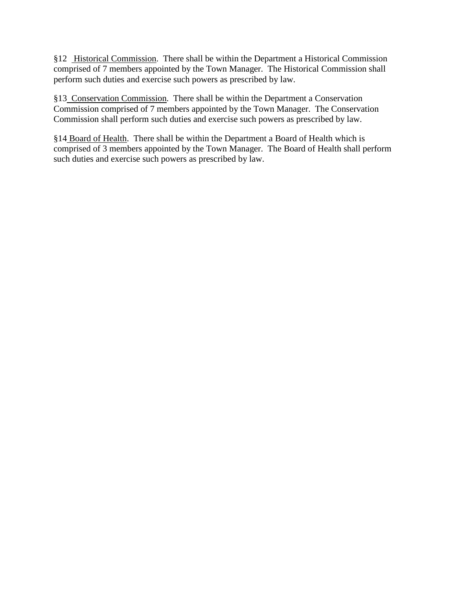§12 Historical Commission. There shall be within the Department a Historical Commission comprised of 7 members appointed by the Town Manager. The Historical Commission shall perform such duties and exercise such powers as prescribed by law.

§13 Conservation Commission. There shall be within the Department a Conservation Commission comprised of 7 members appointed by the Town Manager. The Conservation Commission shall perform such duties and exercise such powers as prescribed by law.

§14 Board of Health. There shall be within the Department a Board of Health which is comprised of 3 members appointed by the Town Manager. The Board of Health shall perform such duties and exercise such powers as prescribed by law.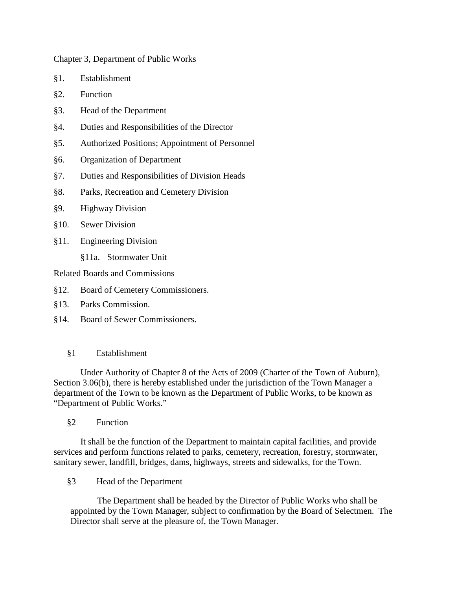Chapter 3, Department of Public Works

- §1. Establishment
- §2. Function
- §3. Head of the Department
- §4. Duties and Responsibilities of the Director
- §5. Authorized Positions; Appointment of Personnel
- §6. Organization of Department
- §7. Duties and Responsibilities of Division Heads
- §8. Parks, Recreation and Cemetery Division
- §9. Highway Division
- §10. Sewer Division
- §11. Engineering Division
	- §11a. Stormwater Unit

Related Boards and Commissions

- §12. Board of Cemetery Commissioners.
- §13. Parks Commission.
- §14. Board of Sewer Commissioners.

#### §1 Establishment

Under Authority of Chapter 8 of the Acts of 2009 (Charter of the Town of Auburn), Section 3.06(b), there is hereby established under the jurisdiction of the Town Manager a department of the Town to be known as the Department of Public Works, to be known as "Department of Public Works."

§2 Function

It shall be the function of the Department to maintain capital facilities, and provide services and perform functions related to parks, cemetery, recreation, forestry, stormwater, sanitary sewer, landfill, bridges, dams, highways, streets and sidewalks, for the Town.

§3 Head of the Department

The Department shall be headed by the Director of Public Works who shall be appointed by the Town Manager, subject to confirmation by the Board of Selectmen. The Director shall serve at the pleasure of, the Town Manager.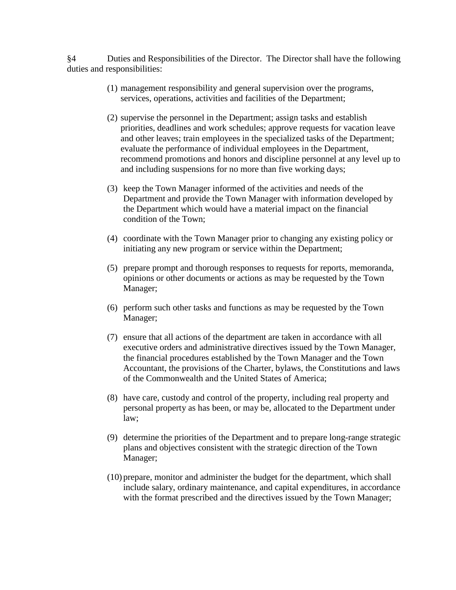§4 Duties and Responsibilities of the Director. The Director shall have the following duties and responsibilities:

- (1) management responsibility and general supervision over the programs, services, operations, activities and facilities of the Department;
- (2) supervise the personnel in the Department; assign tasks and establish priorities, deadlines and work schedules; approve requests for vacation leave and other leaves; train employees in the specialized tasks of the Department; evaluate the performance of individual employees in the Department, recommend promotions and honors and discipline personnel at any level up to and including suspensions for no more than five working days;
- (3) keep the Town Manager informed of the activities and needs of the Department and provide the Town Manager with information developed by the Department which would have a material impact on the financial condition of the Town;
- (4) coordinate with the Town Manager prior to changing any existing policy or initiating any new program or service within the Department;
- (5) prepare prompt and thorough responses to requests for reports, memoranda, opinions or other documents or actions as may be requested by the Town Manager;
- (6) perform such other tasks and functions as may be requested by the Town Manager;
- (7) ensure that all actions of the department are taken in accordance with all executive orders and administrative directives issued by the Town Manager, the financial procedures established by the Town Manager and the Town Accountant, the provisions of the Charter, bylaws, the Constitutions and laws of the Commonwealth and the United States of America;
- (8) have care, custody and control of the property, including real property and personal property as has been, or may be, allocated to the Department under law;
- (9) determine the priorities of the Department and to prepare long-range strategic plans and objectives consistent with the strategic direction of the Town Manager;
- (10) prepare, monitor and administer the budget for the department, which shall include salary, ordinary maintenance, and capital expenditures, in accordance with the format prescribed and the directives issued by the Town Manager;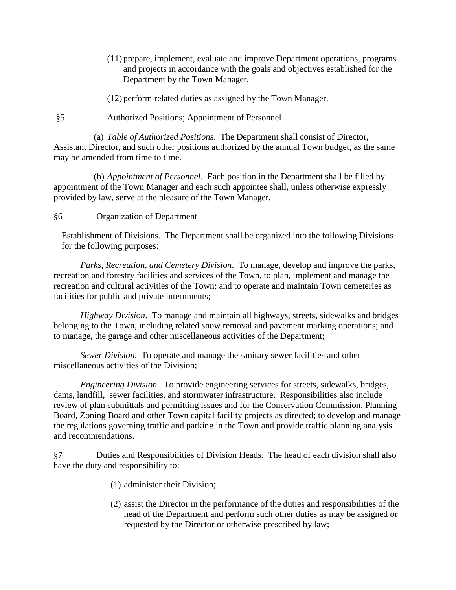- (11) prepare, implement, evaluate and improve Department operations, programs and projects in accordance with the goals and objectives established for the Department by the Town Manager.
- (12) perform related duties as assigned by the Town Manager.
- §5 Authorized Positions; Appointment of Personnel

(a) *Table of Authorized Positions*. The Department shall consist of Director, Assistant Director, and such other positions authorized by the annual Town budget, as the same may be amended from time to time.

(b) *Appointment of Personnel*. Each position in the Department shall be filled by appointment of the Town Manager and each such appointee shall, unless otherwise expressly provided by law, serve at the pleasure of the Town Manager.

#### §6 Organization of Department

Establishment of Divisions. The Department shall be organized into the following Divisions for the following purposes:

*Parks, Recreation, and Cemetery Division*. To manage, develop and improve the parks, recreation and forestry facilities and services of the Town, to plan, implement and manage the recreation and cultural activities of the Town; and to operate and maintain Town cemeteries as facilities for public and private internments;

*Highway Division*. To manage and maintain all highways, streets, sidewalks and bridges belonging to the Town, including related snow removal and pavement marking operations; and to manage, the garage and other miscellaneous activities of the Department;

*Sewer Division*. To operate and manage the sanitary sewer facilities and other miscellaneous activities of the Division;

*Engineering Division*. To provide engineering services for streets, sidewalks, bridges, dams, landfill, sewer facilities, and stormwater infrastructure. Responsibilities also include review of plan submittals and permitting issues and for the Conservation Commission, Planning Board, Zoning Board and other Town capital facility projects as directed; to develop and manage the regulations governing traffic and parking in the Town and provide traffic planning analysis and recommendations.

§7 Duties and Responsibilities of Division Heads. The head of each division shall also have the duty and responsibility to:

- (1) administer their Division;
- (2) assist the Director in the performance of the duties and responsibilities of the head of the Department and perform such other duties as may be assigned or requested by the Director or otherwise prescribed by law;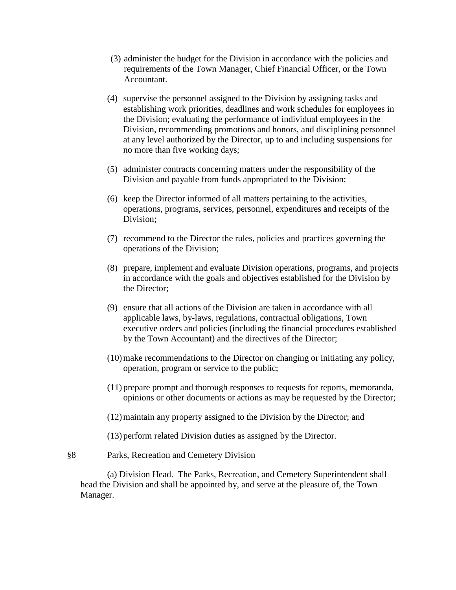- (3) administer the budget for the Division in accordance with the policies and requirements of the Town Manager, Chief Financial Officer, or the Town Accountant.
- (4) supervise the personnel assigned to the Division by assigning tasks and establishing work priorities, deadlines and work schedules for employees in the Division; evaluating the performance of individual employees in the Division, recommending promotions and honors, and disciplining personnel at any level authorized by the Director, up to and including suspensions for no more than five working days;
- (5) administer contracts concerning matters under the responsibility of the Division and payable from funds appropriated to the Division;
- (6) keep the Director informed of all matters pertaining to the activities, operations, programs, services, personnel, expenditures and receipts of the Division;
- (7) recommend to the Director the rules, policies and practices governing the operations of the Division;
- (8) prepare, implement and evaluate Division operations, programs, and projects in accordance with the goals and objectives established for the Division by the Director;
- (9) ensure that all actions of the Division are taken in accordance with all applicable laws, by-laws, regulations, contractual obligations, Town executive orders and policies (including the financial procedures established by the Town Accountant) and the directives of the Director;
- (10)make recommendations to the Director on changing or initiating any policy, operation, program or service to the public;
- (11) prepare prompt and thorough responses to requests for reports, memoranda, opinions or other documents or actions as may be requested by the Director;
- (12)maintain any property assigned to the Division by the Director; and
- (13) perform related Division duties as assigned by the Director.
- §8 Parks, Recreation and Cemetery Division

(a) Division Head. The Parks, Recreation, and Cemetery Superintendent shall head the Division and shall be appointed by, and serve at the pleasure of, the Town Manager.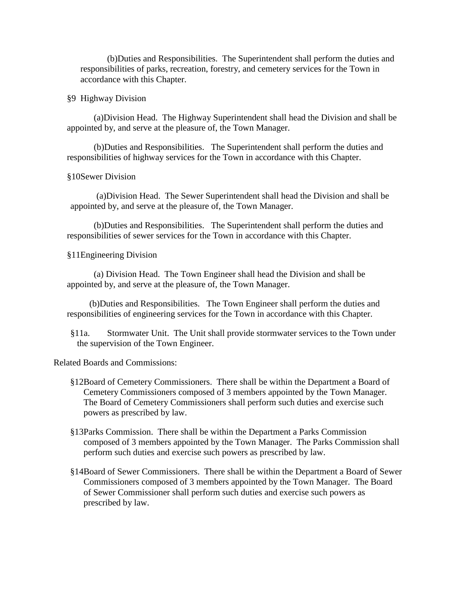(b)Duties and Responsibilities. The Superintendent shall perform the duties and responsibilities of parks, recreation, forestry, and cemetery services for the Town in accordance with this Chapter.

§9 Highway Division

(a)Division Head. The Highway Superintendent shall head the Division and shall be appointed by, and serve at the pleasure of, the Town Manager.

(b)Duties and Responsibilities. The Superintendent shall perform the duties and responsibilities of highway services for the Town in accordance with this Chapter.

§10Sewer Division

(a)Division Head. The Sewer Superintendent shall head the Division and shall be appointed by, and serve at the pleasure of, the Town Manager.

(b)Duties and Responsibilities. The Superintendent shall perform the duties and responsibilities of sewer services for the Town in accordance with this Chapter.

§11Engineering Division

(a) Division Head. The Town Engineer shall head the Division and shall be appointed by, and serve at the pleasure of, the Town Manager.

 (b)Duties and Responsibilities. The Town Engineer shall perform the duties and responsibilities of engineering services for the Town in accordance with this Chapter.

§11a. Stormwater Unit. The Unit shall provide stormwater services to the Town under the supervision of the Town Engineer.

Related Boards and Commissions:

- §12Board of Cemetery Commissioners. There shall be within the Department a Board of Cemetery Commissioners composed of 3 members appointed by the Town Manager. The Board of Cemetery Commissioners shall perform such duties and exercise such powers as prescribed by law.
- §13Parks Commission. There shall be within the Department a Parks Commission composed of 3 members appointed by the Town Manager. The Parks Commission shall perform such duties and exercise such powers as prescribed by law.
- §14Board of Sewer Commissioners. There shall be within the Department a Board of Sewer Commissioners composed of 3 members appointed by the Town Manager. The Board of Sewer Commissioner shall perform such duties and exercise such powers as prescribed by law.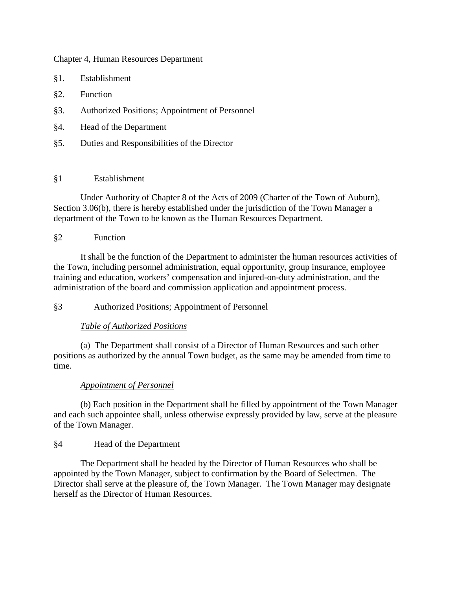#### Chapter 4, Human Resources Department

- §1. Establishment
- §2. Function
- §3. Authorized Positions; Appointment of Personnel
- §4. Head of the Department
- §5. Duties and Responsibilities of the Director

#### §1 Establishment

Under Authority of Chapter 8 of the Acts of 2009 (Charter of the Town of Auburn), Section 3.06(b), there is hereby established under the jurisdiction of the Town Manager a department of the Town to be known as the Human Resources Department.

# §2 Function

It shall be the function of the Department to administer the human resources activities of the Town, including personnel administration, equal opportunity, group insurance, employee training and education, workers' compensation and injured-on-duty administration, and the administration of the board and commission application and appointment process.

§3 Authorized Positions; Appointment of Personnel

# *Table of Authorized Positions*

(a) The Department shall consist of a Director of Human Resources and such other positions as authorized by the annual Town budget, as the same may be amended from time to time.

# *Appointment of Personnel*

(b) Each position in the Department shall be filled by appointment of the Town Manager and each such appointee shall, unless otherwise expressly provided by law, serve at the pleasure of the Town Manager.

# §4 Head of the Department

The Department shall be headed by the Director of Human Resources who shall be appointed by the Town Manager, subject to confirmation by the Board of Selectmen. The Director shall serve at the pleasure of, the Town Manager. The Town Manager may designate herself as the Director of Human Resources.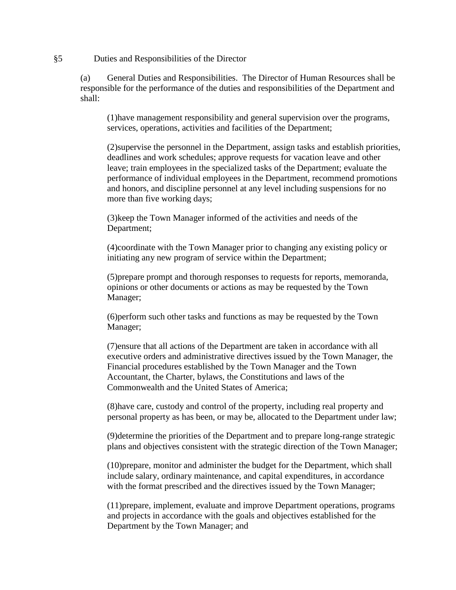§5 Duties and Responsibilities of the Director

(a) General Duties and Responsibilities. The Director of Human Resources shall be responsible for the performance of the duties and responsibilities of the Department and shall:

(1)have management responsibility and general supervision over the programs, services, operations, activities and facilities of the Department;

(2)supervise the personnel in the Department, assign tasks and establish priorities, deadlines and work schedules; approve requests for vacation leave and other leave; train employees in the specialized tasks of the Department; evaluate the performance of individual employees in the Department, recommend promotions and honors, and discipline personnel at any level including suspensions for no more than five working days;

(3)keep the Town Manager informed of the activities and needs of the Department;

(4)coordinate with the Town Manager prior to changing any existing policy or initiating any new program of service within the Department;

(5)prepare prompt and thorough responses to requests for reports, memoranda, opinions or other documents or actions as may be requested by the Town Manager;

(6)perform such other tasks and functions as may be requested by the Town Manager;

(7)ensure that all actions of the Department are taken in accordance with all executive orders and administrative directives issued by the Town Manager, the Financial procedures established by the Town Manager and the Town Accountant, the Charter, bylaws, the Constitutions and laws of the Commonwealth and the United States of America;

(8)have care, custody and control of the property, including real property and personal property as has been, or may be, allocated to the Department under law;

(9)determine the priorities of the Department and to prepare long-range strategic plans and objectives consistent with the strategic direction of the Town Manager;

(10)prepare, monitor and administer the budget for the Department, which shall include salary, ordinary maintenance, and capital expenditures, in accordance with the format prescribed and the directives issued by the Town Manager;

(11)prepare, implement, evaluate and improve Department operations, programs and projects in accordance with the goals and objectives established for the Department by the Town Manager; and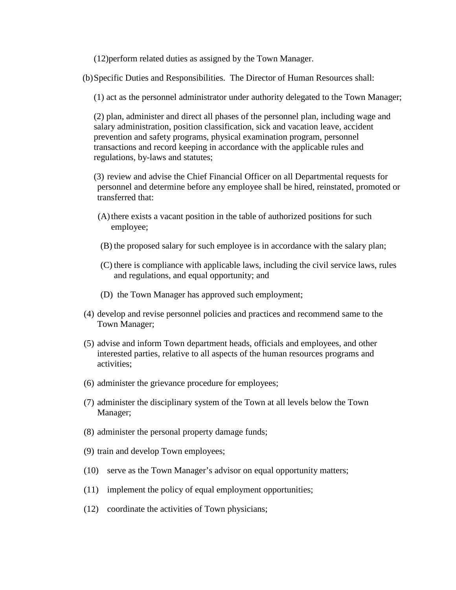(12)perform related duties as assigned by the Town Manager.

(b)Specific Duties and Responsibilities. The Director of Human Resources shall:

(1) act as the personnel administrator under authority delegated to the Town Manager;

(2) plan, administer and direct all phases of the personnel plan, including wage and salary administration, position classification, sick and vacation leave, accident prevention and safety programs, physical examination program, personnel transactions and record keeping in accordance with the applicable rules and regulations, by-laws and statutes;

(3) review and advise the Chief Financial Officer on all Departmental requests for personnel and determine before any employee shall be hired, reinstated, promoted or transferred that:

- (A)there exists a vacant position in the table of authorized positions for such employee;
- (B) the proposed salary for such employee is in accordance with the salary plan;
- (C) there is compliance with applicable laws, including the civil service laws, rules and regulations, and equal opportunity; and
- (D) the Town Manager has approved such employment;
- (4) develop and revise personnel policies and practices and recommend same to the Town Manager;
- (5) advise and inform Town department heads, officials and employees, and other interested parties, relative to all aspects of the human resources programs and activities;
- (6) administer the grievance procedure for employees;
- (7) administer the disciplinary system of the Town at all levels below the Town Manager;
- (8) administer the personal property damage funds;
- (9) train and develop Town employees;
- (10) serve as the Town Manager's advisor on equal opportunity matters;
- (11) implement the policy of equal employment opportunities;
- (12) coordinate the activities of Town physicians;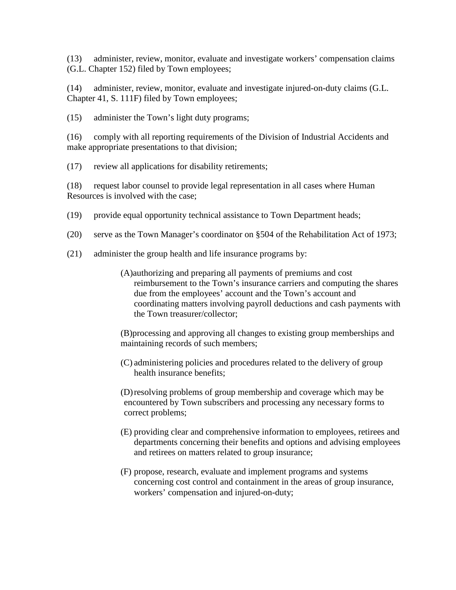(13) administer, review, monitor, evaluate and investigate workers' compensation claims (G.L. Chapter 152) filed by Town employees;

(14) administer, review, monitor, evaluate and investigate injured-on-duty claims (G.L. Chapter 41, S. 111F) filed by Town employees;

(15) administer the Town's light duty programs;

(16) comply with all reporting requirements of the Division of Industrial Accidents and make appropriate presentations to that division;

(17) review all applications for disability retirements;

(18) request labor counsel to provide legal representation in all cases where Human Resources is involved with the case;

- (19) provide equal opportunity technical assistance to Town Department heads;
- (20) serve as the Town Manager's coordinator on §504 of the Rehabilitation Act of 1973;
- (21) administer the group health and life insurance programs by:
	- (A)authorizing and preparing all payments of premiums and cost reimbursement to the Town's insurance carriers and computing the shares due from the employees' account and the Town's account and coordinating matters involving payroll deductions and cash payments with the Town treasurer/collector;

(B)processing and approving all changes to existing group memberships and maintaining records of such members;

(C) administering policies and procedures related to the delivery of group health insurance benefits;

(D)resolving problems of group membership and coverage which may be encountered by Town subscribers and processing any necessary forms to correct problems;

- (E) providing clear and comprehensive information to employees, retirees and departments concerning their benefits and options and advising employees and retirees on matters related to group insurance;
- (F) propose, research, evaluate and implement programs and systems concerning cost control and containment in the areas of group insurance, workers' compensation and injured-on-duty;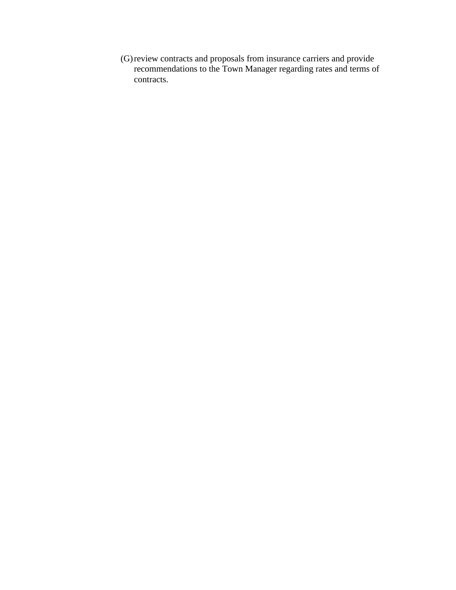(G)review contracts and proposals from insurance carriers and provide recommendations to the Town Manager regarding rates and terms of contracts.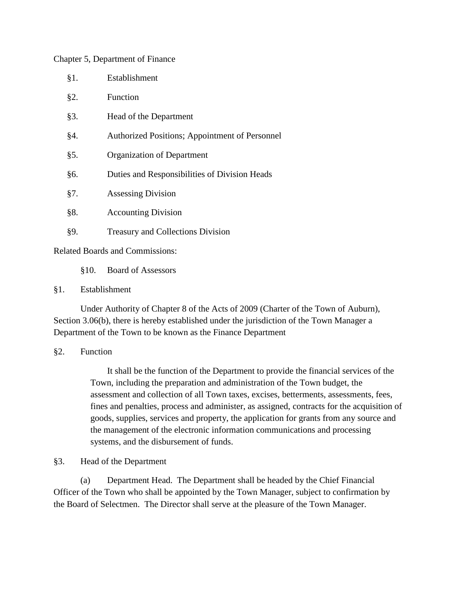#### Chapter 5, Department of Finance

| $§1$ . | Establishment                                  |
|--------|------------------------------------------------|
| §2.    | Function                                       |
| §3.    | Head of the Department                         |
| §4.    | Authorized Positions; Appointment of Personnel |
| §5.    | Organization of Department                     |
| §6.    | Duties and Responsibilities of Division Heads  |
| §7.    | <b>Assessing Division</b>                      |
| §8.    | <b>Accounting Division</b>                     |
| §9.    | <b>Treasury and Collections Division</b>       |

Related Boards and Commissions:

§10. Board of Assessors

#### §1. Establishment

Under Authority of Chapter 8 of the Acts of 2009 (Charter of the Town of Auburn), Section 3.06(b), there is hereby established under the jurisdiction of the Town Manager a Department of the Town to be known as the Finance Department

#### §2. Function

It shall be the function of the Department to provide the financial services of the Town, including the preparation and administration of the Town budget, the assessment and collection of all Town taxes, excises, betterments, assessments, fees, fines and penalties, process and administer, as assigned, contracts for the acquisition of goods, supplies, services and property, the application for grants from any source and the management of the electronic information communications and processing systems, and the disbursement of funds.

# §3. Head of the Department

(a) Department Head. The Department shall be headed by the Chief Financial Officer of the Town who shall be appointed by the Town Manager, subject to confirmation by the Board of Selectmen. The Director shall serve at the pleasure of the Town Manager.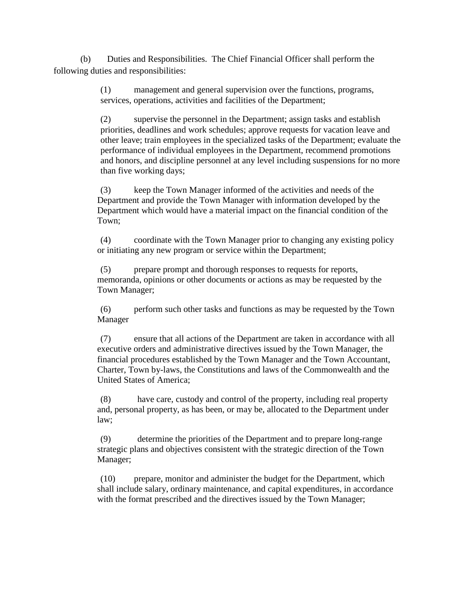(b) Duties and Responsibilities. The Chief Financial Officer shall perform the following duties and responsibilities:

> (1) management and general supervision over the functions, programs, services, operations, activities and facilities of the Department;

(2) supervise the personnel in the Department; assign tasks and establish priorities, deadlines and work schedules; approve requests for vacation leave and other leave; train employees in the specialized tasks of the Department; evaluate the performance of individual employees in the Department, recommend promotions and honors, and discipline personnel at any level including suspensions for no more than five working days;

(3) keep the Town Manager informed of the activities and needs of the Department and provide the Town Manager with information developed by the Department which would have a material impact on the financial condition of the Town;

(4) coordinate with the Town Manager prior to changing any existing policy or initiating any new program or service within the Department;

(5) prepare prompt and thorough responses to requests for reports, memoranda, opinions or other documents or actions as may be requested by the Town Manager;

(6) perform such other tasks and functions as may be requested by the Town Manager

(7) ensure that all actions of the Department are taken in accordance with all executive orders and administrative directives issued by the Town Manager, the financial procedures established by the Town Manager and the Town Accountant, Charter, Town by-laws, the Constitutions and laws of the Commonwealth and the United States of America;

(8) have care, custody and control of the property, including real property and, personal property, as has been, or may be, allocated to the Department under law;

(9) determine the priorities of the Department and to prepare long-range strategic plans and objectives consistent with the strategic direction of the Town Manager;

(10) prepare, monitor and administer the budget for the Department, which shall include salary, ordinary maintenance, and capital expenditures, in accordance with the format prescribed and the directives issued by the Town Manager;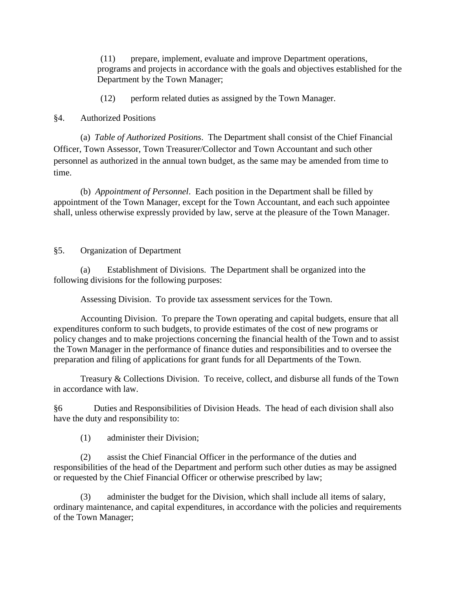(11) prepare, implement, evaluate and improve Department operations, programs and projects in accordance with the goals and objectives established for the Department by the Town Manager;

(12) perform related duties as assigned by the Town Manager.

#### §4. Authorized Positions

(a) *Table of Authorized Positions*. The Department shall consist of the Chief Financial Officer, Town Assessor, Town Treasurer/Collector and Town Accountant and such other personnel as authorized in the annual town budget, as the same may be amended from time to time.

(b) *Appointment of Personnel*. Each position in the Department shall be filled by appointment of the Town Manager, except for the Town Accountant, and each such appointee shall, unless otherwise expressly provided by law, serve at the pleasure of the Town Manager.

#### §5. Organization of Department

(a) Establishment of Divisions. The Department shall be organized into the following divisions for the following purposes:

Assessing Division. To provide tax assessment services for the Town.

Accounting Division. To prepare the Town operating and capital budgets, ensure that all expenditures conform to such budgets, to provide estimates of the cost of new programs or policy changes and to make projections concerning the financial health of the Town and to assist the Town Manager in the performance of finance duties and responsibilities and to oversee the preparation and filing of applications for grant funds for all Departments of the Town.

Treasury & Collections Division. To receive, collect, and disburse all funds of the Town in accordance with law.

§6 Duties and Responsibilities of Division Heads. The head of each division shall also have the duty and responsibility to:

(1) administer their Division;

(2) assist the Chief Financial Officer in the performance of the duties and responsibilities of the head of the Department and perform such other duties as may be assigned or requested by the Chief Financial Officer or otherwise prescribed by law;

(3) administer the budget for the Division, which shall include all items of salary, ordinary maintenance, and capital expenditures, in accordance with the policies and requirements of the Town Manager;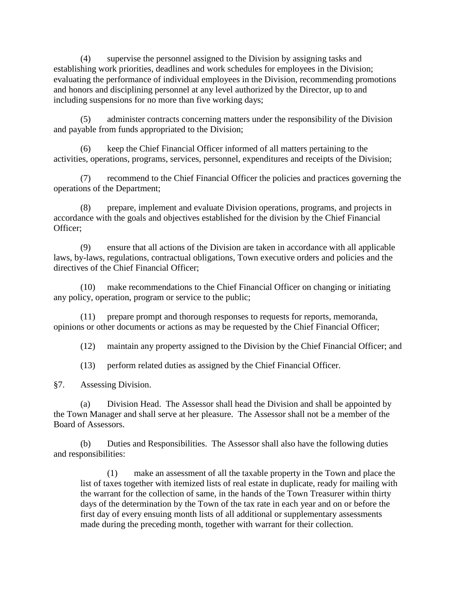(4) supervise the personnel assigned to the Division by assigning tasks and establishing work priorities, deadlines and work schedules for employees in the Division; evaluating the performance of individual employees in the Division, recommending promotions and honors and disciplining personnel at any level authorized by the Director, up to and including suspensions for no more than five working days;

(5) administer contracts concerning matters under the responsibility of the Division and payable from funds appropriated to the Division;

(6) keep the Chief Financial Officer informed of all matters pertaining to the activities, operations, programs, services, personnel, expenditures and receipts of the Division;

(7) recommend to the Chief Financial Officer the policies and practices governing the operations of the Department;

(8) prepare, implement and evaluate Division operations, programs, and projects in accordance with the goals and objectives established for the division by the Chief Financial Officer;

(9) ensure that all actions of the Division are taken in accordance with all applicable laws, by-laws, regulations, contractual obligations, Town executive orders and policies and the directives of the Chief Financial Officer;

(10) make recommendations to the Chief Financial Officer on changing or initiating any policy, operation, program or service to the public;

(11) prepare prompt and thorough responses to requests for reports, memoranda, opinions or other documents or actions as may be requested by the Chief Financial Officer;

(12) maintain any property assigned to the Division by the Chief Financial Officer; and

(13) perform related duties as assigned by the Chief Financial Officer.

§7. Assessing Division.

(a) Division Head. The Assessor shall head the Division and shall be appointed by the Town Manager and shall serve at her pleasure. The Assessor shall not be a member of the Board of Assessors.

(b) Duties and Responsibilities. The Assessor shall also have the following duties and responsibilities:

(1) make an assessment of all the taxable property in the Town and place the list of taxes together with itemized lists of real estate in duplicate, ready for mailing with the warrant for the collection of same, in the hands of the Town Treasurer within thirty days of the determination by the Town of the tax rate in each year and on or before the first day of every ensuing month lists of all additional or supplementary assessments made during the preceding month, together with warrant for their collection.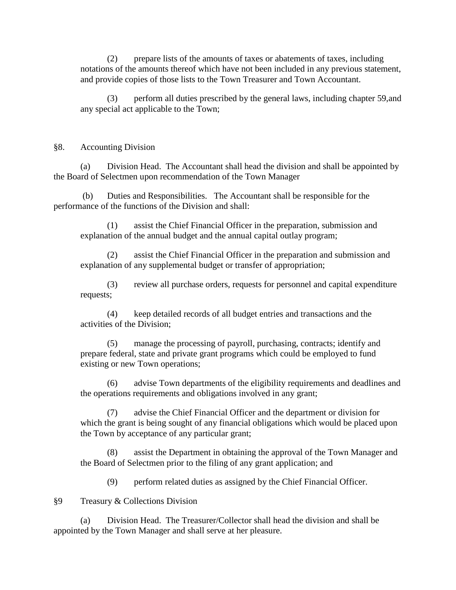(2) prepare lists of the amounts of taxes or abatements of taxes, including notations of the amounts thereof which have not been included in any previous statement, and provide copies of those lists to the Town Treasurer and Town Accountant.

(3) perform all duties prescribed by the general laws, including chapter 59,and any special act applicable to the Town;

#### §8. Accounting Division

(a) Division Head. The Accountant shall head the division and shall be appointed by the Board of Selectmen upon recommendation of the Town Manager

(b) Duties and Responsibilities. The Accountant shall be responsible for the performance of the functions of the Division and shall:

(1) assist the Chief Financial Officer in the preparation, submission and explanation of the annual budget and the annual capital outlay program;

(2) assist the Chief Financial Officer in the preparation and submission and explanation of any supplemental budget or transfer of appropriation;

(3) review all purchase orders, requests for personnel and capital expenditure requests;

(4) keep detailed records of all budget entries and transactions and the activities of the Division;

(5) manage the processing of payroll, purchasing, contracts; identify and prepare federal, state and private grant programs which could be employed to fund existing or new Town operations;

(6) advise Town departments of the eligibility requirements and deadlines and the operations requirements and obligations involved in any grant;

(7) advise the Chief Financial Officer and the department or division for which the grant is being sought of any financial obligations which would be placed upon the Town by acceptance of any particular grant;

assist the Department in obtaining the approval of the Town Manager and the Board of Selectmen prior to the filing of any grant application; and

(9) perform related duties as assigned by the Chief Financial Officer.

§9 Treasury & Collections Division

(a) Division Head. The Treasurer/Collector shall head the division and shall be appointed by the Town Manager and shall serve at her pleasure.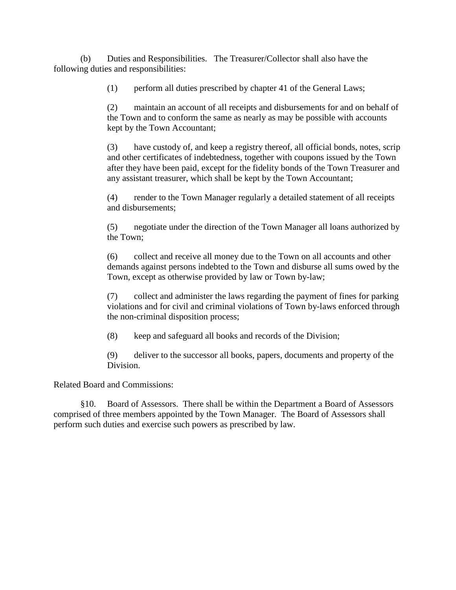(b) Duties and Responsibilities. The Treasurer/Collector shall also have the following duties and responsibilities:

(1) perform all duties prescribed by chapter 41 of the General Laws;

(2) maintain an account of all receipts and disbursements for and on behalf of the Town and to conform the same as nearly as may be possible with accounts kept by the Town Accountant;

(3) have custody of, and keep a registry thereof, all official bonds, notes, scrip and other certificates of indebtedness, together with coupons issued by the Town after they have been paid, except for the fidelity bonds of the Town Treasurer and any assistant treasurer, which shall be kept by the Town Accountant;

(4) render to the Town Manager regularly a detailed statement of all receipts and disbursements;

(5) negotiate under the direction of the Town Manager all loans authorized by the Town;

(6) collect and receive all money due to the Town on all accounts and other demands against persons indebted to the Town and disburse all sums owed by the Town, except as otherwise provided by law or Town by-law;

(7) collect and administer the laws regarding the payment of fines for parking violations and for civil and criminal violations of Town by-laws enforced through the non-criminal disposition process;

(8) keep and safeguard all books and records of the Division;

(9) deliver to the successor all books, papers, documents and property of the Division.

Related Board and Commissions:

§10. Board of Assessors. There shall be within the Department a Board of Assessors comprised of three members appointed by the Town Manager. The Board of Assessors shall perform such duties and exercise such powers as prescribed by law.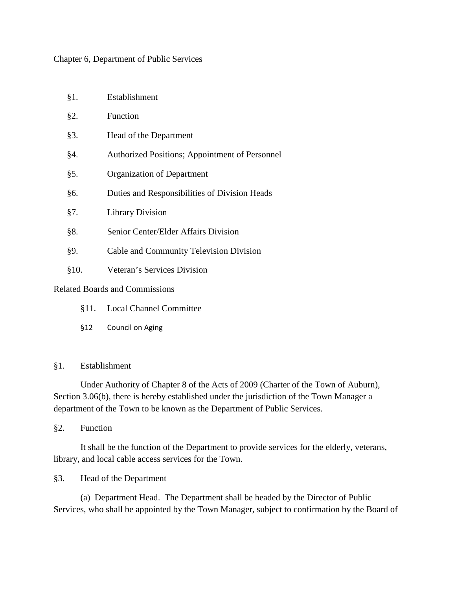#### Chapter 6, Department of Public Services

| §1.  | Establishment                                  |
|------|------------------------------------------------|
| §2.  | Function                                       |
| §3.  | Head of the Department                         |
| §4.  | Authorized Positions; Appointment of Personnel |
| §5.  | Organization of Department                     |
| §6.  | Duties and Responsibilities of Division Heads  |
| §7.  | <b>Library Division</b>                        |
| §8.  | Senior Center/Elder Affairs Division           |
| §9.  | Cable and Community Television Division        |
| §10. | Veteran's Services Division                    |
|      | <b>Related Boards and Commissions</b>          |

- §11. Local Channel Committee
- §12 Council on Aging

#### §1. Establishment

Under Authority of Chapter 8 of the Acts of 2009 (Charter of the Town of Auburn), Section 3.06(b), there is hereby established under the jurisdiction of the Town Manager a department of the Town to be known as the Department of Public Services.

§2. Function

It shall be the function of the Department to provide services for the elderly, veterans, library, and local cable access services for the Town.

§3. Head of the Department

(a) Department Head. The Department shall be headed by the Director of Public Services, who shall be appointed by the Town Manager, subject to confirmation by the Board of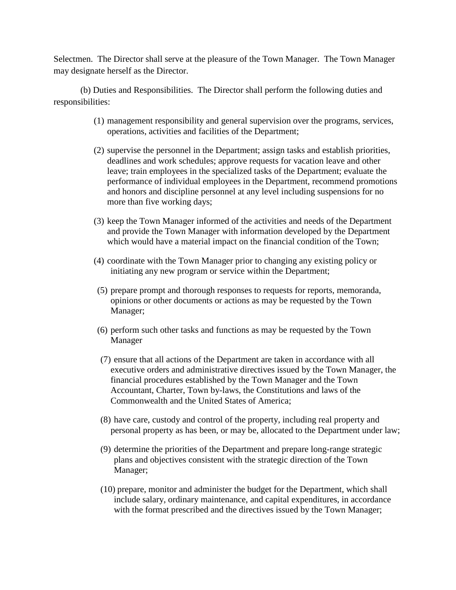Selectmen. The Director shall serve at the pleasure of the Town Manager. The Town Manager may designate herself as the Director.

(b) Duties and Responsibilities. The Director shall perform the following duties and responsibilities:

- (1) management responsibility and general supervision over the programs, services, operations, activities and facilities of the Department;
- (2) supervise the personnel in the Department; assign tasks and establish priorities, deadlines and work schedules; approve requests for vacation leave and other leave; train employees in the specialized tasks of the Department; evaluate the performance of individual employees in the Department, recommend promotions and honors and discipline personnel at any level including suspensions for no more than five working days;
- (3) keep the Town Manager informed of the activities and needs of the Department and provide the Town Manager with information developed by the Department which would have a material impact on the financial condition of the Town;
- (4) coordinate with the Town Manager prior to changing any existing policy or initiating any new program or service within the Department;
- (5) prepare prompt and thorough responses to requests for reports, memoranda, opinions or other documents or actions as may be requested by the Town Manager;
- (6) perform such other tasks and functions as may be requested by the Town Manager
- (7) ensure that all actions of the Department are taken in accordance with all executive orders and administrative directives issued by the Town Manager, the financial procedures established by the Town Manager and the Town Accountant, Charter, Town by-laws, the Constitutions and laws of the Commonwealth and the United States of America;
- (8) have care, custody and control of the property, including real property and personal property as has been, or may be, allocated to the Department under law;
- (9) determine the priorities of the Department and prepare long-range strategic plans and objectives consistent with the strategic direction of the Town Manager;
- (10) prepare, monitor and administer the budget for the Department, which shall include salary, ordinary maintenance, and capital expenditures, in accordance with the format prescribed and the directives issued by the Town Manager;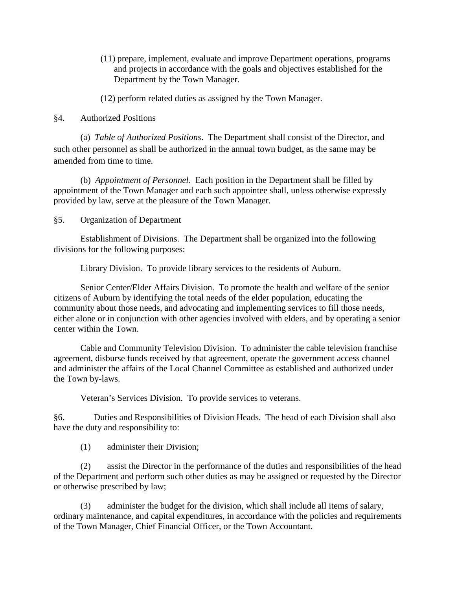(11) prepare, implement, evaluate and improve Department operations, programs and projects in accordance with the goals and objectives established for the Department by the Town Manager.

(12) perform related duties as assigned by the Town Manager.

#### §4. Authorized Positions

(a) *Table of Authorized Positions*. The Department shall consist of the Director, and such other personnel as shall be authorized in the annual town budget, as the same may be amended from time to time.

(b) *Appointment of Personnel*. Each position in the Department shall be filled by appointment of the Town Manager and each such appointee shall, unless otherwise expressly provided by law, serve at the pleasure of the Town Manager.

#### §5. Organization of Department

Establishment of Divisions. The Department shall be organized into the following divisions for the following purposes:

Library Division. To provide library services to the residents of Auburn.

Senior Center/Elder Affairs Division. To promote the health and welfare of the senior citizens of Auburn by identifying the total needs of the elder population, educating the community about those needs, and advocating and implementing services to fill those needs, either alone or in conjunction with other agencies involved with elders, and by operating a senior center within the Town.

Cable and Community Television Division. To administer the cable television franchise agreement, disburse funds received by that agreement, operate the government access channel and administer the affairs of the Local Channel Committee as established and authorized under the Town by-laws.

Veteran's Services Division. To provide services to veterans.

§6. Duties and Responsibilities of Division Heads. The head of each Division shall also have the duty and responsibility to:

(1) administer their Division;

(2) assist the Director in the performance of the duties and responsibilities of the head of the Department and perform such other duties as may be assigned or requested by the Director or otherwise prescribed by law;

(3) administer the budget for the division, which shall include all items of salary, ordinary maintenance, and capital expenditures, in accordance with the policies and requirements of the Town Manager, Chief Financial Officer, or the Town Accountant.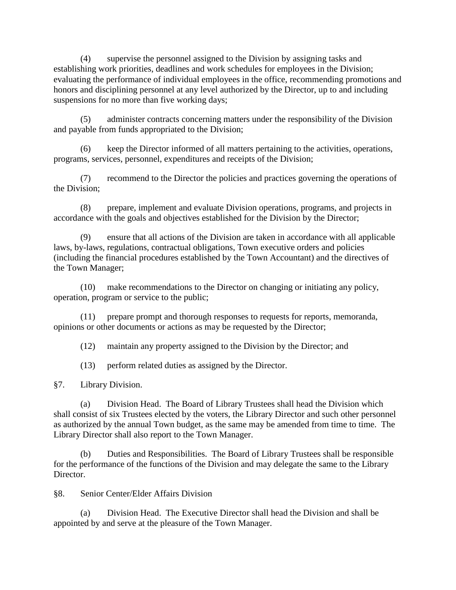(4) supervise the personnel assigned to the Division by assigning tasks and establishing work priorities, deadlines and work schedules for employees in the Division; evaluating the performance of individual employees in the office, recommending promotions and honors and disciplining personnel at any level authorized by the Director, up to and including suspensions for no more than five working days;

(5) administer contracts concerning matters under the responsibility of the Division and payable from funds appropriated to the Division;

(6) keep the Director informed of all matters pertaining to the activities, operations, programs, services, personnel, expenditures and receipts of the Division;

(7) recommend to the Director the policies and practices governing the operations of the Division;

(8) prepare, implement and evaluate Division operations, programs, and projects in accordance with the goals and objectives established for the Division by the Director;

(9) ensure that all actions of the Division are taken in accordance with all applicable laws, by-laws, regulations, contractual obligations, Town executive orders and policies (including the financial procedures established by the Town Accountant) and the directives of the Town Manager;

(10) make recommendations to the Director on changing or initiating any policy, operation, program or service to the public;

(11) prepare prompt and thorough responses to requests for reports, memoranda, opinions or other documents or actions as may be requested by the Director;

(12) maintain any property assigned to the Division by the Director; and

(13) perform related duties as assigned by the Director.

§7. Library Division.

(a) Division Head. The Board of Library Trustees shall head the Division which shall consist of six Trustees elected by the voters, the Library Director and such other personnel as authorized by the annual Town budget, as the same may be amended from time to time. The Library Director shall also report to the Town Manager.

(b) Duties and Responsibilities. The Board of Library Trustees shall be responsible for the performance of the functions of the Division and may delegate the same to the Library Director.

§8. Senior Center/Elder Affairs Division

(a) Division Head. The Executive Director shall head the Division and shall be appointed by and serve at the pleasure of the Town Manager.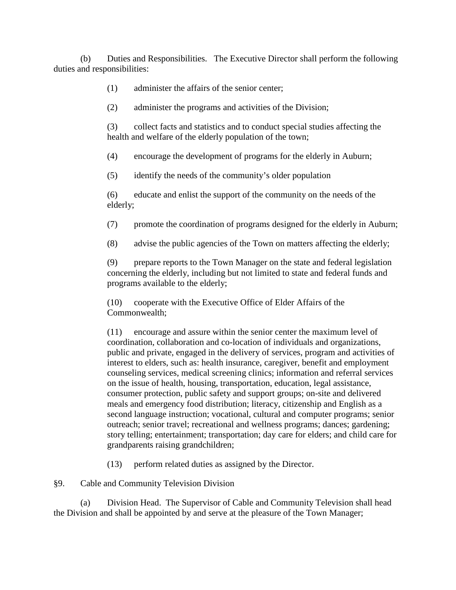(b) Duties and Responsibilities. The Executive Director shall perform the following duties and responsibilities:

(1) administer the affairs of the senior center;

(2) administer the programs and activities of the Division;

(3) collect facts and statistics and to conduct special studies affecting the health and welfare of the elderly population of the town;

(4) encourage the development of programs for the elderly in Auburn;

(5) identify the needs of the community's older population

(6) educate and enlist the support of the community on the needs of the elderly;

(7) promote the coordination of programs designed for the elderly in Auburn;

(8) advise the public agencies of the Town on matters affecting the elderly;

(9) prepare reports to the Town Manager on the state and federal legislation concerning the elderly, including but not limited to state and federal funds and programs available to the elderly;

(10) cooperate with the Executive Office of Elder Affairs of the Commonwealth;

(11) encourage and assure within the senior center the maximum level of coordination, collaboration and co-location of individuals and organizations, public and private, engaged in the delivery of services, program and activities of interest to elders, such as: health insurance, caregiver, benefit and employment counseling services, medical screening clinics; information and referral services on the issue of health, housing, transportation, education, legal assistance, consumer protection, public safety and support groups; on-site and delivered meals and emergency food distribution; literacy, citizenship and English as a second language instruction; vocational, cultural and computer programs; senior outreach; senior travel; recreational and wellness programs; dances; gardening; story telling; entertainment; transportation; day care for elders; and child care for grandparents raising grandchildren;

(13) perform related duties as assigned by the Director.

§9. Cable and Community Television Division

(a) Division Head. The Supervisor of Cable and Community Television shall head the Division and shall be appointed by and serve at the pleasure of the Town Manager;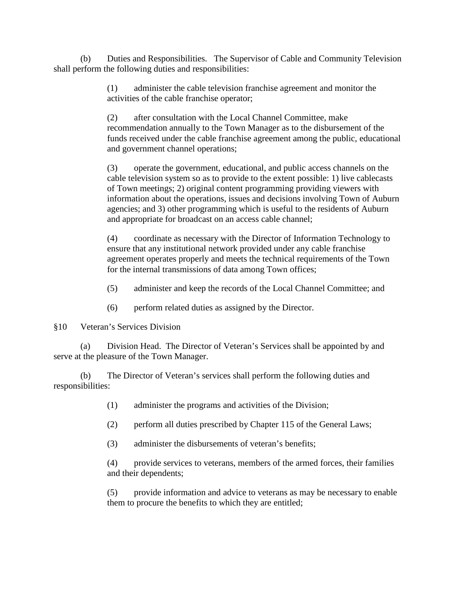(b) Duties and Responsibilities. The Supervisor of Cable and Community Television shall perform the following duties and responsibilities:

> (1) administer the cable television franchise agreement and monitor the activities of the cable franchise operator;

(2) after consultation with the Local Channel Committee, make recommendation annually to the Town Manager as to the disbursement of the funds received under the cable franchise agreement among the public, educational and government channel operations;

(3) operate the government, educational, and public access channels on the cable television system so as to provide to the extent possible: 1) live cablecasts of Town meetings; 2) original content programming providing viewers with information about the operations, issues and decisions involving Town of Auburn agencies; and 3) other programming which is useful to the residents of Auburn and appropriate for broadcast on an access cable channel;

(4) coordinate as necessary with the Director of Information Technology to ensure that any institutional network provided under any cable franchise agreement operates properly and meets the technical requirements of the Town for the internal transmissions of data among Town offices;

(5) administer and keep the records of the Local Channel Committee; and

(6) perform related duties as assigned by the Director.

§10 Veteran's Services Division

(a) Division Head. The Director of Veteran's Services shall be appointed by and serve at the pleasure of the Town Manager.

(b) The Director of Veteran's services shall perform the following duties and responsibilities:

- (1) administer the programs and activities of the Division;
- (2) perform all duties prescribed by Chapter 115 of the General Laws;
- (3) administer the disbursements of veteran's benefits;

(4) provide services to veterans, members of the armed forces, their families and their dependents;

(5) provide information and advice to veterans as may be necessary to enable them to procure the benefits to which they are entitled;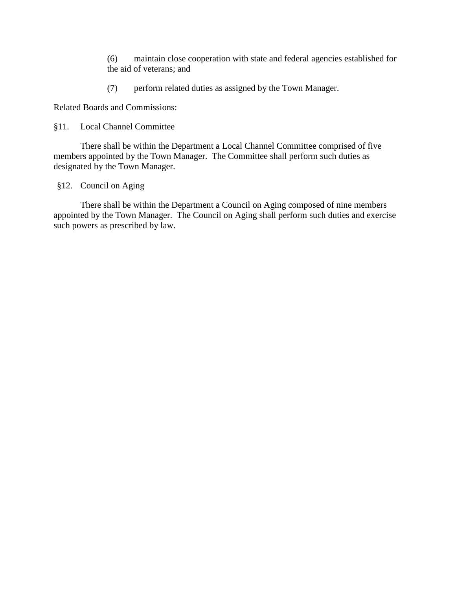(6) maintain close cooperation with state and federal agencies established for the aid of veterans; and

(7) perform related duties as assigned by the Town Manager.

Related Boards and Commissions:

#### §11. Local Channel Committee

There shall be within the Department a Local Channel Committee comprised of five members appointed by the Town Manager. The Committee shall perform such duties as designated by the Town Manager.

§12. Council on Aging

There shall be within the Department a Council on Aging composed of nine members appointed by the Town Manager. The Council on Aging shall perform such duties and exercise such powers as prescribed by law.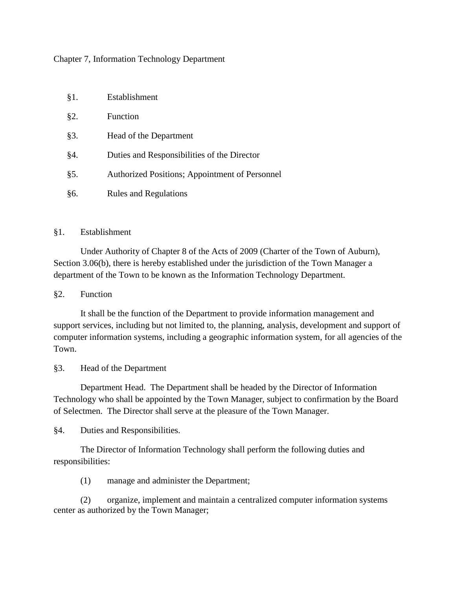#### Chapter 7, Information Technology Department

§1. Establishment

| X1.    | Louquismique                                   |
|--------|------------------------------------------------|
| §2.    | <b>Function</b>                                |
| $§3$ . | Head of the Department                         |
| §4.    | Duties and Responsibilities of the Director    |
| §5.    | Authorized Positions; Appointment of Personnel |
| §6.    | <b>Rules and Regulations</b>                   |

#### §1. Establishment

Under Authority of Chapter 8 of the Acts of 2009 (Charter of the Town of Auburn), Section 3.06(b), there is hereby established under the jurisdiction of the Town Manager a department of the Town to be known as the Information Technology Department.

#### §2. Function

It shall be the function of the Department to provide information management and support services, including but not limited to, the planning, analysis, development and support of computer information systems, including a geographic information system, for all agencies of the Town.

#### §3. Head of the Department

Department Head. The Department shall be headed by the Director of Information Technology who shall be appointed by the Town Manager, subject to confirmation by the Board of Selectmen. The Director shall serve at the pleasure of the Town Manager.

§4. Duties and Responsibilities.

The Director of Information Technology shall perform the following duties and responsibilities:

(1) manage and administer the Department;

(2) organize, implement and maintain a centralized computer information systems center as authorized by the Town Manager;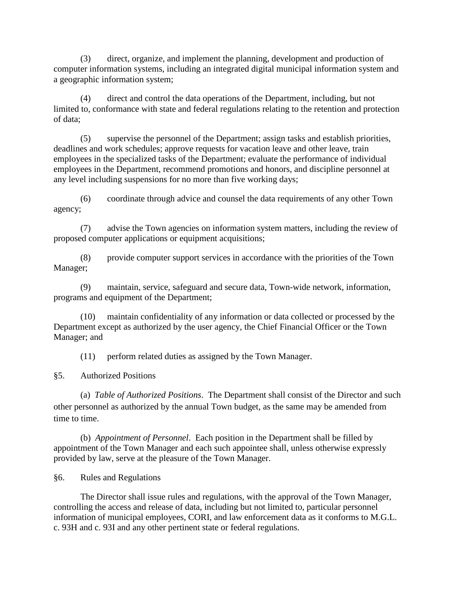(3) direct, organize, and implement the planning, development and production of computer information systems, including an integrated digital municipal information system and a geographic information system;

(4) direct and control the data operations of the Department, including, but not limited to, conformance with state and federal regulations relating to the retention and protection of data;

(5) supervise the personnel of the Department; assign tasks and establish priorities, deadlines and work schedules; approve requests for vacation leave and other leave, train employees in the specialized tasks of the Department; evaluate the performance of individual employees in the Department, recommend promotions and honors, and discipline personnel at any level including suspensions for no more than five working days;

(6) coordinate through advice and counsel the data requirements of any other Town agency;

(7) advise the Town agencies on information system matters, including the review of proposed computer applications or equipment acquisitions;

(8) provide computer support services in accordance with the priorities of the Town Manager;

(9) maintain, service, safeguard and secure data, Town-wide network, information, programs and equipment of the Department;

(10) maintain confidentiality of any information or data collected or processed by the Department except as authorized by the user agency, the Chief Financial Officer or the Town Manager; and

(11) perform related duties as assigned by the Town Manager.

§5. Authorized Positions

(a) *Table of Authorized Positions*. The Department shall consist of the Director and such other personnel as authorized by the annual Town budget, as the same may be amended from time to time.

(b) *Appointment of Personnel*. Each position in the Department shall be filled by appointment of the Town Manager and each such appointee shall, unless otherwise expressly provided by law, serve at the pleasure of the Town Manager.

§6. Rules and Regulations

The Director shall issue rules and regulations, with the approval of the Town Manager, controlling the access and release of data, including but not limited to, particular personnel information of municipal employees, CORI, and law enforcement data as it conforms to M.G.L. c. 93H and c. 93I and any other pertinent state or federal regulations.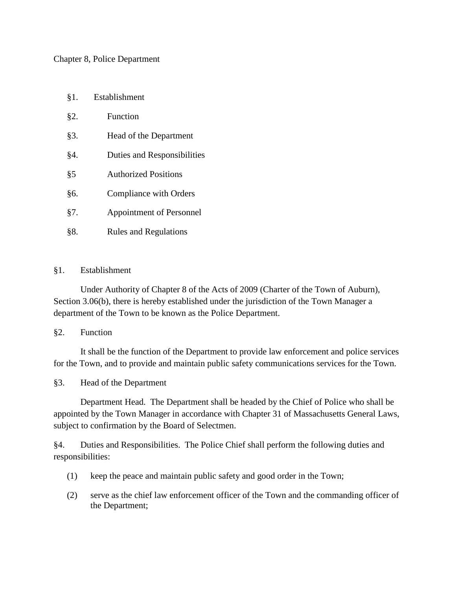#### Chapter 8, Police Department

- §1. Establishment
- §2. Function
- §3. Head of the Department
- §4. Duties and Responsibilities
- §5 Authorized Positions
- §6. Compliance with Orders
- §7. Appointment of Personnel
- §8. Rules and Regulations

#### §1. Establishment

Under Authority of Chapter 8 of the Acts of 2009 (Charter of the Town of Auburn), Section 3.06(b), there is hereby established under the jurisdiction of the Town Manager a department of the Town to be known as the Police Department.

#### §2. Function

It shall be the function of the Department to provide law enforcement and police services for the Town, and to provide and maintain public safety communications services for the Town.

# §3. Head of the Department

Department Head. The Department shall be headed by the Chief of Police who shall be appointed by the Town Manager in accordance with Chapter 31 of Massachusetts General Laws, subject to confirmation by the Board of Selectmen.

§4. Duties and Responsibilities. The Police Chief shall perform the following duties and responsibilities:

- (1) keep the peace and maintain public safety and good order in the Town;
- (2) serve as the chief law enforcement officer of the Town and the commanding officer of the Department;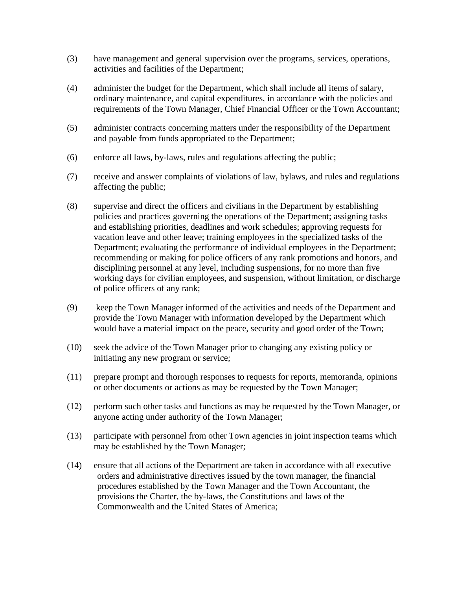- (3) have management and general supervision over the programs, services, operations, activities and facilities of the Department;
- (4) administer the budget for the Department, which shall include all items of salary, ordinary maintenance, and capital expenditures, in accordance with the policies and requirements of the Town Manager, Chief Financial Officer or the Town Accountant;
- (5) administer contracts concerning matters under the responsibility of the Department and payable from funds appropriated to the Department;
- (6) enforce all laws, by-laws, rules and regulations affecting the public;
- (7) receive and answer complaints of violations of law, bylaws, and rules and regulations affecting the public;
- (8) supervise and direct the officers and civilians in the Department by establishing policies and practices governing the operations of the Department; assigning tasks and establishing priorities, deadlines and work schedules; approving requests for vacation leave and other leave; training employees in the specialized tasks of the Department; evaluating the performance of individual employees in the Department; recommending or making for police officers of any rank promotions and honors, and disciplining personnel at any level, including suspensions, for no more than five working days for civilian employees, and suspension, without limitation, or discharge of police officers of any rank;
- (9) keep the Town Manager informed of the activities and needs of the Department and provide the Town Manager with information developed by the Department which would have a material impact on the peace, security and good order of the Town;
- (10) seek the advice of the Town Manager prior to changing any existing policy or initiating any new program or service;
- (11) prepare prompt and thorough responses to requests for reports, memoranda, opinions or other documents or actions as may be requested by the Town Manager;
- (12) perform such other tasks and functions as may be requested by the Town Manager, or anyone acting under authority of the Town Manager;
- (13) participate with personnel from other Town agencies in joint inspection teams which may be established by the Town Manager;
- (14) ensure that all actions of the Department are taken in accordance with all executive orders and administrative directives issued by the town manager, the financial procedures established by the Town Manager and the Town Accountant, the provisions the Charter, the by-laws, the Constitutions and laws of the Commonwealth and the United States of America;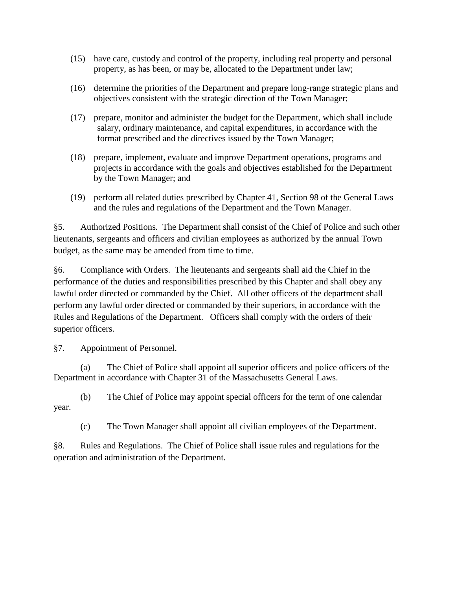- (15) have care, custody and control of the property, including real property and personal property, as has been, or may be, allocated to the Department under law;
- (16) determine the priorities of the Department and prepare long-range strategic plans and objectives consistent with the strategic direction of the Town Manager;
- (17) prepare, monitor and administer the budget for the Department, which shall include salary, ordinary maintenance, and capital expenditures, in accordance with the format prescribed and the directives issued by the Town Manager;
- (18) prepare, implement, evaluate and improve Department operations, programs and projects in accordance with the goals and objectives established for the Department by the Town Manager; and
- (19) perform all related duties prescribed by Chapter 41, Section 98 of the General Laws and the rules and regulations of the Department and the Town Manager.

§5. Authorized Positions*.* The Department shall consist of the Chief of Police and such other lieutenants, sergeants and officers and civilian employees as authorized by the annual Town budget, as the same may be amended from time to time.

§6. Compliance with Orders. The lieutenants and sergeants shall aid the Chief in the performance of the duties and responsibilities prescribed by this Chapter and shall obey any lawful order directed or commanded by the Chief. All other officers of the department shall perform any lawful order directed or commanded by their superiors, in accordance with the Rules and Regulations of the Department. Officers shall comply with the orders of their superior officers.

§7. Appointment of Personnel.

(a) The Chief of Police shall appoint all superior officers and police officers of the Department in accordance with Chapter 31 of the Massachusetts General Laws.

(b) The Chief of Police may appoint special officers for the term of one calendar year.

(c) The Town Manager shall appoint all civilian employees of the Department.

§8. Rules and Regulations. The Chief of Police shall issue rules and regulations for the operation and administration of the Department.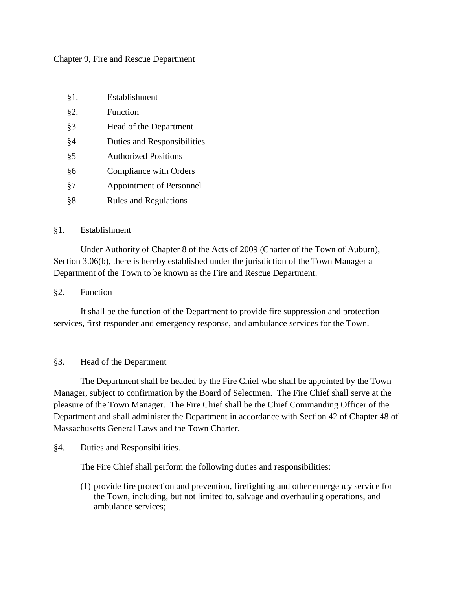#### Chapter 9, Fire and Rescue Department

| $§1$ . | Establishment |
|--------|---------------|
|        |               |

- §2. Function
- §3. Head of the Department
- §4. Duties and Responsibilities
- §5 Authorized Positions
- §6 Compliance with Orders
- §7 Appointment of Personnel
- §8 Rules and Regulations

#### §1. Establishment

Under Authority of Chapter 8 of the Acts of 2009 (Charter of the Town of Auburn), Section 3.06(b), there is hereby established under the jurisdiction of the Town Manager a Department of the Town to be known as the Fire and Rescue Department.

#### §2. Function

It shall be the function of the Department to provide fire suppression and protection services, first responder and emergency response, and ambulance services for the Town.

# §3. Head of the Department

The Department shall be headed by the Fire Chief who shall be appointed by the Town Manager, subject to confirmation by the Board of Selectmen. The Fire Chief shall serve at the pleasure of the Town Manager. The Fire Chief shall be the Chief Commanding Officer of the Department and shall administer the Department in accordance with Section 42 of Chapter 48 of Massachusetts General Laws and the Town Charter.

# §4. Duties and Responsibilities.

The Fire Chief shall perform the following duties and responsibilities:

(1) provide fire protection and prevention, firefighting and other emergency service for the Town, including, but not limited to, salvage and overhauling operations, and ambulance services;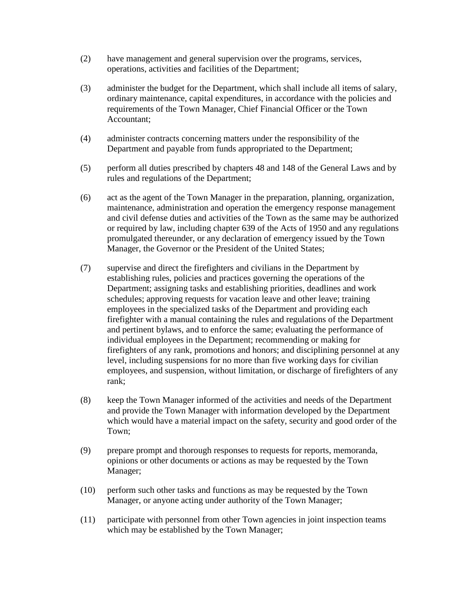- (2) have management and general supervision over the programs, services, operations, activities and facilities of the Department;
- (3) administer the budget for the Department, which shall include all items of salary, ordinary maintenance, capital expenditures, in accordance with the policies and requirements of the Town Manager, Chief Financial Officer or the Town Accountant;
- (4) administer contracts concerning matters under the responsibility of the Department and payable from funds appropriated to the Department;
- (5) perform all duties prescribed by chapters 48 and 148 of the General Laws and by rules and regulations of the Department;
- (6) act as the agent of the Town Manager in the preparation, planning, organization, maintenance, administration and operation the emergency response management and civil defense duties and activities of the Town as the same may be authorized or required by law, including chapter 639 of the Acts of 1950 and any regulations promulgated thereunder, or any declaration of emergency issued by the Town Manager, the Governor or the President of the United States;
- (7) supervise and direct the firefighters and civilians in the Department by establishing rules, policies and practices governing the operations of the Department; assigning tasks and establishing priorities, deadlines and work schedules; approving requests for vacation leave and other leave; training employees in the specialized tasks of the Department and providing each firefighter with a manual containing the rules and regulations of the Department and pertinent bylaws, and to enforce the same; evaluating the performance of individual employees in the Department; recommending or making for firefighters of any rank, promotions and honors; and disciplining personnel at any level, including suspensions for no more than five working days for civilian employees, and suspension, without limitation, or discharge of firefighters of any rank;
- (8) keep the Town Manager informed of the activities and needs of the Department and provide the Town Manager with information developed by the Department which would have a material impact on the safety, security and good order of the Town;
- (9) prepare prompt and thorough responses to requests for reports, memoranda, opinions or other documents or actions as may be requested by the Town Manager;
- (10) perform such other tasks and functions as may be requested by the Town Manager, or anyone acting under authority of the Town Manager;
- (11) participate with personnel from other Town agencies in joint inspection teams which may be established by the Town Manager;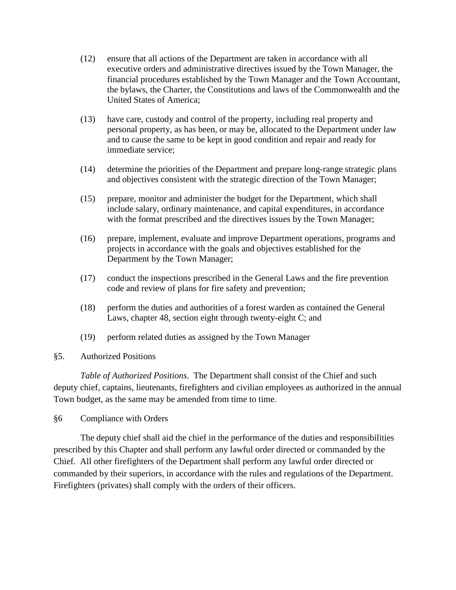- (12) ensure that all actions of the Department are taken in accordance with all executive orders and administrative directives issued by the Town Manager, the financial procedures established by the Town Manager and the Town Accountant, the bylaws, the Charter, the Constitutions and laws of the Commonwealth and the United States of America;
- (13) have care, custody and control of the property, including real property and personal property, as has been, or may be, allocated to the Department under law and to cause the same to be kept in good condition and repair and ready for immediate service;
- (14) determine the priorities of the Department and prepare long-range strategic plans and objectives consistent with the strategic direction of the Town Manager;
- (15) prepare, monitor and administer the budget for the Department, which shall include salary, ordinary maintenance, and capital expenditures, in accordance with the format prescribed and the directives issues by the Town Manager;
- (16) prepare, implement, evaluate and improve Department operations, programs and projects in accordance with the goals and objectives established for the Department by the Town Manager;
- (17) conduct the inspections prescribed in the General Laws and the fire prevention code and review of plans for fire safety and prevention;
- (18) perform the duties and authorities of a forest warden as contained the General Laws, chapter 48, section eight through twenty-eight C; and
- (19) perform related duties as assigned by the Town Manager
- §5. Authorized Positions

*Table of Authorized Positions*. The Department shall consist of the Chief and such deputy chief, captains, lieutenants, firefighters and civilian employees as authorized in the annual Town budget, as the same may be amended from time to time.

§6 Compliance with Orders

The deputy chief shall aid the chief in the performance of the duties and responsibilities prescribed by this Chapter and shall perform any lawful order directed or commanded by the Chief. All other firefighters of the Department shall perform any lawful order directed or commanded by their superiors, in accordance with the rules and regulations of the Department. Firefighters (privates) shall comply with the orders of their officers.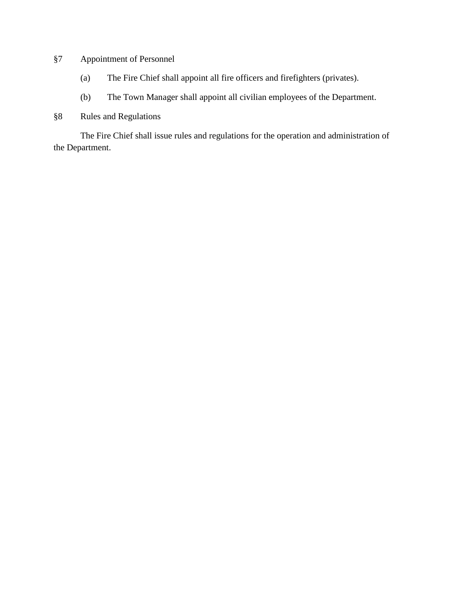# §7 Appointment of Personnel

- (a) The Fire Chief shall appoint all fire officers and firefighters (privates).
- (b) The Town Manager shall appoint all civilian employees of the Department.
- §8 Rules and Regulations

The Fire Chief shall issue rules and regulations for the operation and administration of the Department.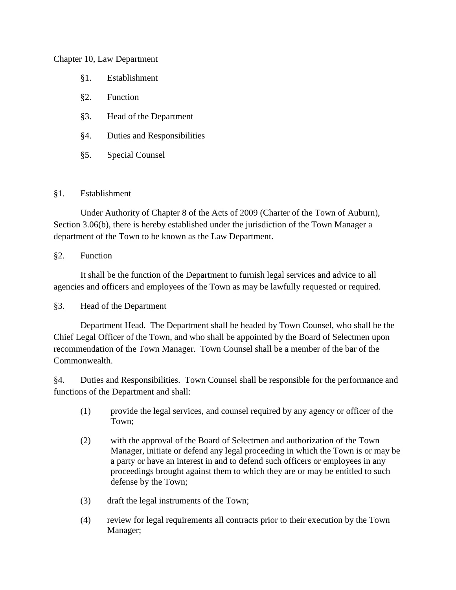#### Chapter 10, Law Department

- §1. Establishment
- §2. Function
- §3. Head of the Department
- §4. Duties and Responsibilities
- §5. Special Counsel

# §1. Establishment

Under Authority of Chapter 8 of the Acts of 2009 (Charter of the Town of Auburn), Section 3.06(b), there is hereby established under the jurisdiction of the Town Manager a department of the Town to be known as the Law Department.

# §2. Function

It shall be the function of the Department to furnish legal services and advice to all agencies and officers and employees of the Town as may be lawfully requested or required.

# §3. Head of the Department

Department Head. The Department shall be headed by Town Counsel, who shall be the Chief Legal Officer of the Town, and who shall be appointed by the Board of Selectmen upon recommendation of the Town Manager. Town Counsel shall be a member of the bar of the Commonwealth.

§4. Duties and Responsibilities. Town Counsel shall be responsible for the performance and functions of the Department and shall:

- (1) provide the legal services, and counsel required by any agency or officer of the Town;
- (2) with the approval of the Board of Selectmen and authorization of the Town Manager, initiate or defend any legal proceeding in which the Town is or may be a party or have an interest in and to defend such officers or employees in any proceedings brought against them to which they are or may be entitled to such defense by the Town;
- (3) draft the legal instruments of the Town;
- (4) review for legal requirements all contracts prior to their execution by the Town Manager;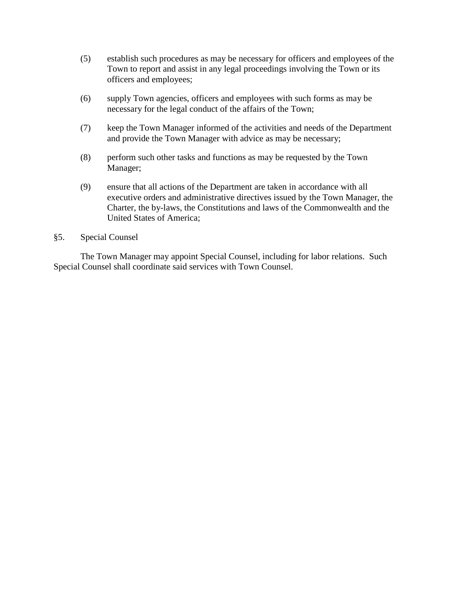- (5) establish such procedures as may be necessary for officers and employees of the Town to report and assist in any legal proceedings involving the Town or its officers and employees;
- (6) supply Town agencies, officers and employees with such forms as may be necessary for the legal conduct of the affairs of the Town;
- (7) keep the Town Manager informed of the activities and needs of the Department and provide the Town Manager with advice as may be necessary;
- (8) perform such other tasks and functions as may be requested by the Town Manager;
- (9) ensure that all actions of the Department are taken in accordance with all executive orders and administrative directives issued by the Town Manager, the Charter, the by-laws, the Constitutions and laws of the Commonwealth and the United States of America;

#### §5. Special Counsel

The Town Manager may appoint Special Counsel, including for labor relations. Such Special Counsel shall coordinate said services with Town Counsel.